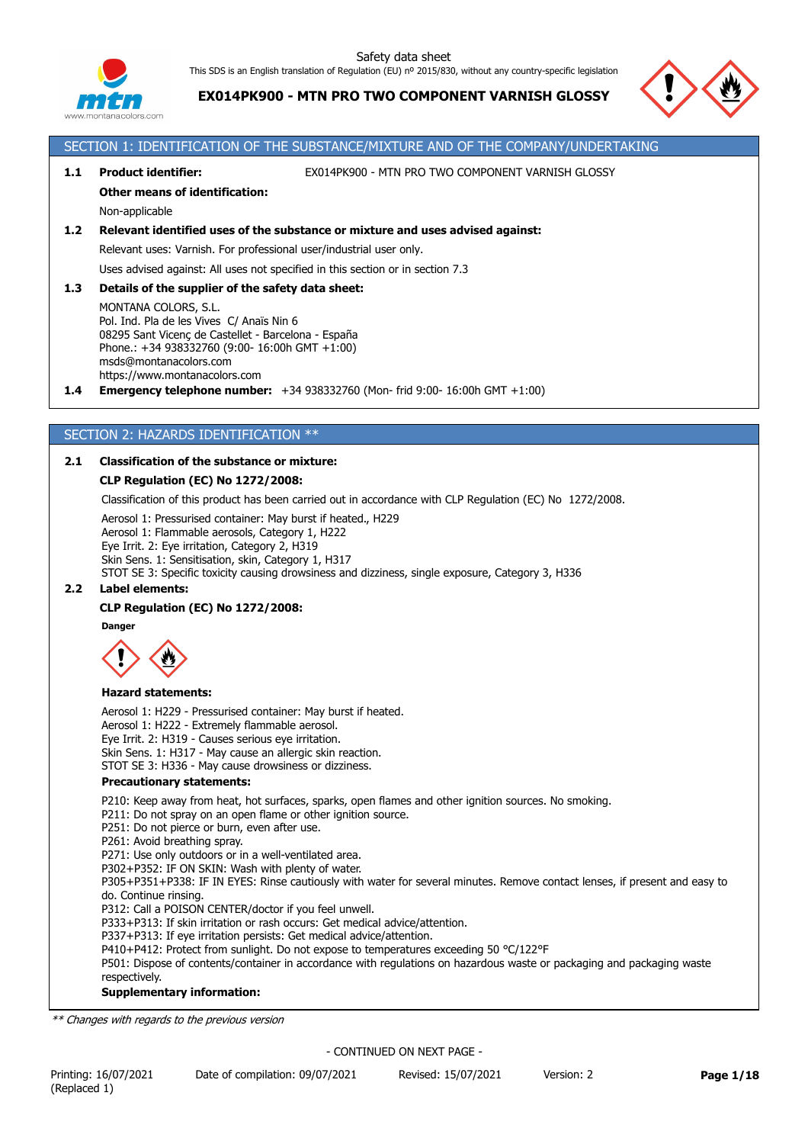

**EX014PK900 - MTN PRO TWO COMPONENT VARNISH GLOSSY**



# SECTION 1: IDENTIFICATION OF THE SUBSTANCE/MIXTURE AND OF THE COMPANY/UNDERTAKING

**1.1 Product identifier:** EX014PK900 - MTN PRO TWO COMPONENT VARNISH GLOSSY

## **Other means of identification:**

Non-applicable

## **1.2 Relevant identified uses of the substance or mixture and uses advised against:**

Relevant uses: Varnish. For professional user/industrial user only.

Uses advised against: All uses not specified in this section or in section 7.3

### **1.3 Details of the supplier of the safety data sheet:**

MONTANA COLORS, S.L. Pol. Ind. Pla de les Vives C/ Anaïs Nin 6 08295 Sant Vicenç de Castellet - Barcelona - España Phone.: +34 938332760 (9:00- 16:00h GMT +1:00) msds@montanacolors.com https://www.montanacolors.com

**1.4 Emergency telephone number:** +34 938332760 (Mon- frid 9:00- 16:00h GMT +1:00)

## SECTION 2: HAZARDS IDENTIFICATION \*\*

## **2.1 Classification of the substance or mixture:**

## **CLP Regulation (EC) No 1272/2008:**

Classification of this product has been carried out in accordance with CLP Regulation (EC) No 1272/2008.

Aerosol 1: Pressurised container: May burst if heated., H229 Aerosol 1: Flammable aerosols, Category 1, H222 Eye Irrit. 2: Eye irritation, Category 2, H319 Skin Sens. 1: Sensitisation, skin, Category 1, H317 STOT SE 3: Specific toxicity causing drowsiness and dizziness, single exposure, Category 3, H336

## **2.2 Label elements:**

## **CLP Regulation (EC) No 1272/2008:**

**Danger**



#### **Hazard statements:**

Aerosol 1: H229 - Pressurised container: May burst if heated. Aerosol 1: H222 - Extremely flammable aerosol. Eye Irrit. 2: H319 - Causes serious eye irritation. Skin Sens. 1: H317 - May cause an allergic skin reaction. STOT SE 3: H336 - May cause drowsiness or dizziness.

## **Precautionary statements:**

P210: Keep away from heat, hot surfaces, sparks, open flames and other ignition sources. No smoking.

P211: Do not spray on an open flame or other ignition source.

P251: Do not pierce or burn, even after use.

P261: Avoid breathing spray.

P271: Use only outdoors or in a well-ventilated area.

P302+P352: IF ON SKIN: Wash with plenty of water.

P305+P351+P338: IF IN EYES: Rinse cautiously with water for several minutes. Remove contact lenses, if present and easy to do. Continue rinsing.

P312: Call a POISON CENTER/doctor if you feel unwell.

P333+P313: If skin irritation or rash occurs: Get medical advice/attention.

P337+P313: If eye irritation persists: Get medical advice/attention.

P410+P412: Protect from sunlight. Do not expose to temperatures exceeding 50 °C/122°F

P501: Dispose of contents/container in accordance with regulations on hazardous waste or packaging and packaging waste respectively.

#### **Supplementary information:**

*\*\* Changes with regards to the previous version*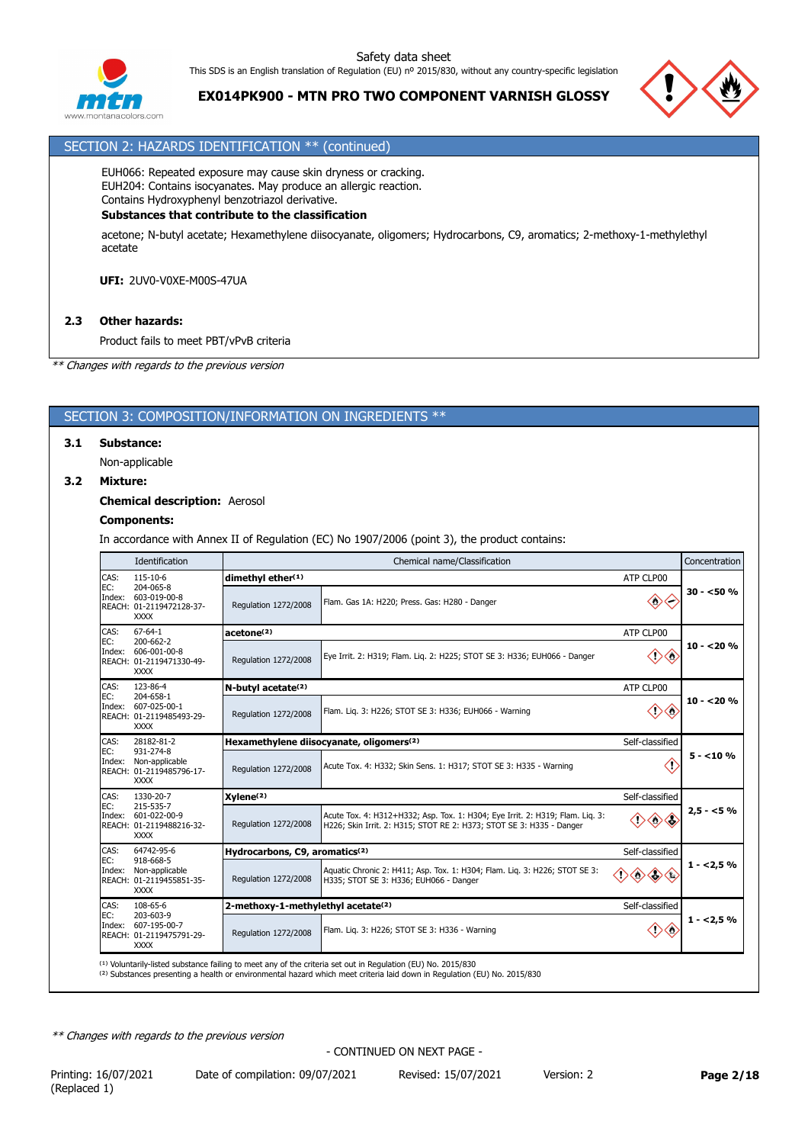



# **EX014PK900 - MTN PRO TWO COMPONENT VARNISH GLOSSY**

## SECTION 2: HAZARDS IDENTIFICATION \*\* (continued)

EUH066: Repeated exposure may cause skin dryness or cracking. EUH204: Contains isocyanates. May produce an allergic reaction. Contains Hydroxyphenyl benzotriazol derivative.

## **Substances that contribute to the classification**

acetone; N-butyl acetate; Hexamethylene diisocyanate, oligomers; Hydrocarbons, C9, aromatics; 2-methoxy-1-methylethyl acetate

**UFI:** 2UV0-V0XE-M00S-47UA

# **2.3 Other hazards:**

Product fails to meet PBT/vPvB criteria

*\*\* Changes with regards to the previous version*

## SECTION 3: COMPOSITION/INFORMATION ON INGREDIENTS \*\*

### **3.1 Substance:**

Non-applicable

## **3.2 Mixture:**

#### **Chemical description:** Aerosol

#### **Components:**

In accordance with Annex II of Regulation (EC) No 1907/2006 (point 3), the product contains:

|                       | Identification                                                                           |                                                             | Chemical name/Classification                                                                                                                          |                                              | Concentration |  |  |  |
|-----------------------|------------------------------------------------------------------------------------------|-------------------------------------------------------------|-------------------------------------------------------------------------------------------------------------------------------------------------------|----------------------------------------------|---------------|--|--|--|
| CAS:                  | 115-10-6<br>204-065-8                                                                    | dimethyl ether(1)                                           | ATP CLP00                                                                                                                                             |                                              |               |  |  |  |
| EC:                   | Index: 603-019-00-8<br>REACH: 01-2119472128-37-<br><b>XXXX</b>                           | Regulation 1272/2008                                        | Flam. Gas 1A: H220; Press. Gas: H280 - Danger                                                                                                         | $\diamondsuit$<br>⇐                          | $30 - 50 \%$  |  |  |  |
| CAS:                  | $67 - 64 - 1$                                                                            | acetone <sup>(2)</sup>                                      |                                                                                                                                                       | ATP CLP00                                    |               |  |  |  |
| EC:<br>Index:         | 200-662-2<br>606-001-00-8<br>REACH: 01-2119471330-49-<br><b>XXXX</b>                     | Regulation 1272/2008                                        | Eye Irrit. 2: H319; Flam. Lig. 2: H225; STOT SE 3: H336; EUH066 - Danger                                                                              | $\Diamond$                                   | $10 - 20%$    |  |  |  |
| CAS:                  | 123-86-4                                                                                 | N-butyl acetate <sup>(2)</sup>                              |                                                                                                                                                       | ATP CLP00                                    |               |  |  |  |
| EC:<br>Index:         | 204-658-1<br>607-025-00-1<br>REACH: 01-2119485493-29-<br><b>XXXX</b>                     | Regulation 1272/2008                                        | Flam. Lig. 3: H226; STOT SE 3: H336; EUH066 - Warning                                                                                                 | Ω                                            | $10 - 20%$    |  |  |  |
| CAS:<br>EC:<br>Index: | 28182-81-2<br>931-274-8<br>Non-applicable<br>REACH: 01-2119485796-17-<br><b>XXXX</b>     | Hexamethylene diisocyanate, oligomers(2)<br>Self-classified |                                                                                                                                                       |                                              |               |  |  |  |
|                       |                                                                                          | Regulation 1272/2008                                        | Acute Tox. 4: H332; Skin Sens. 1: H317; STOT SE 3: H335 - Warning                                                                                     | KT.                                          | $5 - 10%$     |  |  |  |
| CAS:                  | 1330-20-7<br>215-535-7<br>Index: 601-022-00-9<br>REACH: 01-2119488216-32-<br><b>XXXX</b> | Xylene <sup>(2)</sup><br>Self-classified                    |                                                                                                                                                       |                                              |               |  |  |  |
| EC:                   |                                                                                          | Regulation 1272/2008                                        | Acute Tox. 4: H312+H332; Asp. Tox. 1: H304; Eye Irrit. 2: H319; Flam. Lig. 3:<br>H226; Skin Irrit. 2: H315; STOT RE 2: H373; STOT SE 3: H335 - Danger | $\Leftrightarrow$                            | $2,5 - 5%$    |  |  |  |
| CAS:                  | 64742-95-6                                                                               | Hydrocarbons, C9, aromatics <sup>(2)</sup>                  |                                                                                                                                                       | Self-classified                              |               |  |  |  |
| EC:<br>Index:         | 918-668-5<br>Non-applicable<br>REACH: 01-2119455851-35-<br><b>XXXX</b>                   | Regulation 1272/2008                                        | Aquatic Chronic 2: H411; Asp. Tox. 1: H304; Flam. Liq. 3: H226; STOT SE 3:<br>H335; STOT SE 3: H336; EUH066 - Danger                                  | $\left\langle \cdot \right\rangle$           | $1 - 2.5%$    |  |  |  |
| CAS:                  | 108-65-6<br>203-603-9                                                                    | 2-methoxy-1-methylethyl acetate(2)<br>Self-classified       |                                                                                                                                                       |                                              |               |  |  |  |
| EC:<br>Index:         | 607-195-00-7<br>REACH: 01-2119475791-29-<br><b>XXXX</b>                                  | Regulation 1272/2008                                        | Flam. Lig. 3: H226; STOT SE 3: H336 - Warning                                                                                                         | $\langle \cdot \rangle$<br>$\leftrightarrow$ | $1 - 2.5%$    |  |  |  |

<sup>(1)</sup> Voluntarily-listed substance failing to meet any of the criteria set out in Regulation (EU) No. 2015/830<br><sup>(2)</sup> Substances presenting a health or environmental hazard which meet criteria laid down in Regulation (EU) N

*\*\* Changes with regards to the previous version*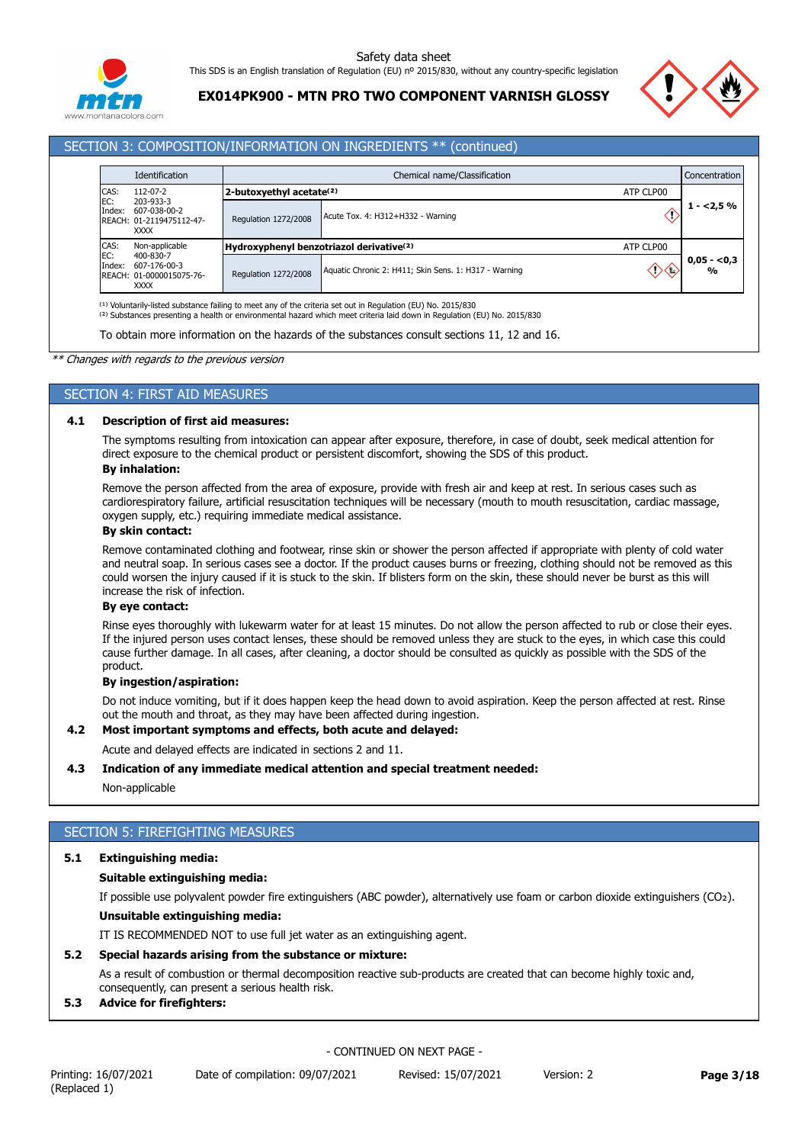

**EX014PK900 - MTN PRO TWO COMPONENT VARNISH GLOSSY**



## SECTION 3: COMPOSITION/INFORMATION ON INGREDIENTS \*\* (continued)

|               | Identification                                                |                                                                   | Chemical name/Classification                          |           |                               |  |  |
|---------------|---------------------------------------------------------------|-------------------------------------------------------------------|-------------------------------------------------------|-----------|-------------------------------|--|--|
| CAS:          | $112 - 07 - 2$                                                | 2-butoxyethyl acetate <sup>(2)</sup>                              |                                                       | ATP CLP00 |                               |  |  |
| EC:<br>Index: | 203-933-3<br>607-038-00-2<br>REACH: 01-2119475112-47-<br>XXXX | Regulation 1272/2008                                              | Acute Tox. 4: H312+H332 - Warning                     |           | $1 - 2.5%$                    |  |  |
| CAS:          | Non-applicable                                                | Hydroxyphenyl benzotriazol derivative <sup>(2)</sup><br>ATP CLP00 |                                                       |           |                               |  |  |
| EC:<br>Index: | 400-830-7<br>607-176-00-3<br>REACH: 01-0000015075-76-<br>XXXX | <b>Regulation 1272/2008</b>                                       | Aquatic Chronic 2: H411: Skin Sens. 1: H317 - Warning |           | $0,05 - 0,3$<br>$\frac{0}{0}$ |  |  |

To obtain more information on the hazards of the substances consult sections 11, 12 and 16.

*\*\* Changes with regards to the previous version*

## SECTION 4: FIRST AID MEASURES

### **4.1 Description of first aid measures:**

The symptoms resulting from intoxication can appear after exposure, therefore, in case of doubt, seek medical attention for direct exposure to the chemical product or persistent discomfort, showing the SDS of this product.

# **By inhalation:**

Remove the person affected from the area of exposure, provide with fresh air and keep at rest. In serious cases such as cardiorespiratory failure, artificial resuscitation techniques will be necessary (mouth to mouth resuscitation, cardiac massage, oxygen supply, etc.) requiring immediate medical assistance.

## **By skin contact:**

Remove contaminated clothing and footwear, rinse skin or shower the person affected if appropriate with plenty of cold water and neutral soap. In serious cases see a doctor. If the product causes burns or freezing, clothing should not be removed as this could worsen the injury caused if it is stuck to the skin. If blisters form on the skin, these should never be burst as this will increase the risk of infection.

#### **By eye contact:**

Rinse eyes thoroughly with lukewarm water for at least 15 minutes. Do not allow the person affected to rub or close their eyes. If the injured person uses contact lenses, these should be removed unless they are stuck to the eyes, in which case this could cause further damage. In all cases, after cleaning, a doctor should be consulted as quickly as possible with the SDS of the product.

#### **By ingestion/aspiration:**

Do not induce vomiting, but if it does happen keep the head down to avoid aspiration. Keep the person affected at rest. Rinse out the mouth and throat, as they may have been affected during ingestion.

#### **4.2 Most important symptoms and effects, both acute and delayed:**

Acute and delayed effects are indicated in sections 2 and 11.

#### **4.3 Indication of any immediate medical attention and special treatment needed:**

Non-applicable

# SECTION 5: FIREFIGHTING MEASURES

# **5.1 Extinguishing media:**

# **Suitable extinguishing media:**

If possible use polyvalent powder fire extinguishers (ABC powder), alternatively use foam or carbon dioxide extinguishers (CO₂).

# **Unsuitable extinguishing media:**

IT IS RECOMMENDED NOT to use full jet water as an extinguishing agent.

# **5.2 Special hazards arising from the substance or mixture:**

As a result of combustion or thermal decomposition reactive sub-products are created that can become highly toxic and, consequently, can present a serious health risk.

# **5.3 Advice for firefighters:**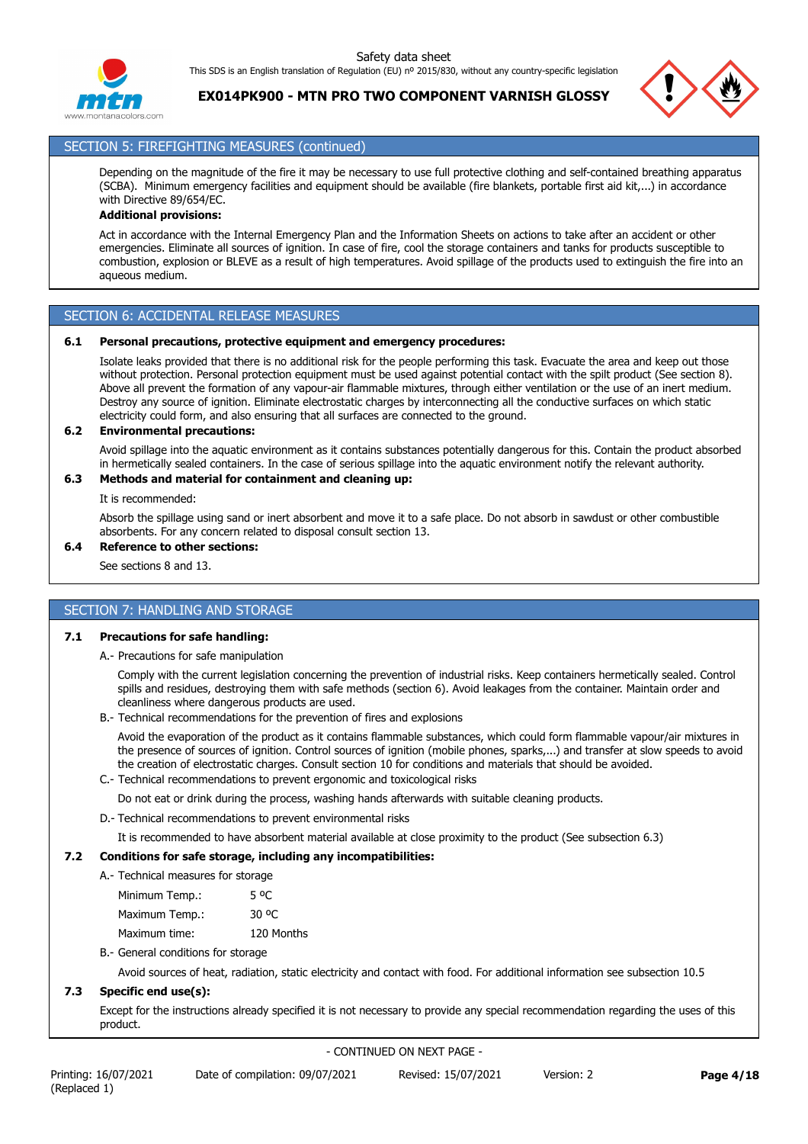

**EX014PK900 - MTN PRO TWO COMPONENT VARNISH GLOSSY**



# SECTION 5: FIREFIGHTING MEASURES (continued)

Depending on the magnitude of the fire it may be necessary to use full protective clothing and self-contained breathing apparatus (SCBA). Minimum emergency facilities and equipment should be available (fire blankets, portable first aid kit,...) in accordance with Directive 89/654/EC.

# **Additional provisions:**

Act in accordance with the Internal Emergency Plan and the Information Sheets on actions to take after an accident or other emergencies. Eliminate all sources of ignition. In case of fire, cool the storage containers and tanks for products susceptible to combustion, explosion or BLEVE as a result of high temperatures. Avoid spillage of the products used to extinguish the fire into an aqueous medium.

# SECTION 6: ACCIDENTAL RELEASE MEASURES

### **6.1 Personal precautions, protective equipment and emergency procedures:**

Isolate leaks provided that there is no additional risk for the people performing this task. Evacuate the area and keep out those without protection. Personal protection equipment must be used against potential contact with the spilt product (See section 8). Above all prevent the formation of any vapour-air flammable mixtures, through either ventilation or the use of an inert medium. Destroy any source of ignition. Eliminate electrostatic charges by interconnecting all the conductive surfaces on which static electricity could form, and also ensuring that all surfaces are connected to the ground.

## **6.2 Environmental precautions:**

Avoid spillage into the aquatic environment as it contains substances potentially dangerous for this. Contain the product absorbed in hermetically sealed containers. In the case of serious spillage into the aquatic environment notify the relevant authority.

## **6.3 Methods and material for containment and cleaning up:**

It is recommended:

Absorb the spillage using sand or inert absorbent and move it to a safe place. Do not absorb in sawdust or other combustible absorbents. For any concern related to disposal consult section 13.

## **6.4 Reference to other sections:**

See sections 8 and 13.

# SECTION 7: HANDLING AND STORAGE

## **7.1 Precautions for safe handling:**

A.- Precautions for safe manipulation

Comply with the current legislation concerning the prevention of industrial risks. Keep containers hermetically sealed. Control spills and residues, destroying them with safe methods (section 6). Avoid leakages from the container. Maintain order and cleanliness where dangerous products are used.

B.- Technical recommendations for the prevention of fires and explosions

Avoid the evaporation of the product as it contains flammable substances, which could form flammable vapour/air mixtures in the presence of sources of ignition. Control sources of ignition (mobile phones, sparks,...) and transfer at slow speeds to avoid the creation of electrostatic charges. Consult section 10 for conditions and materials that should be avoided.

C.- Technical recommendations to prevent ergonomic and toxicological risks

Do not eat or drink during the process, washing hands afterwards with suitable cleaning products.

D.- Technical recommendations to prevent environmental risks

It is recommended to have absorbent material available at close proximity to the product (See subsection 6.3)

## **7.2 Conditions for safe storage, including any incompatibilities:**

| Minimum Temp.:<br>5 <sup>o</sup> C |  |
|------------------------------------|--|
| 30 OC<br>Maximum Temp.:            |  |
| 120 Months<br>Maximum time:        |  |

# B.- General conditions for storage

Avoid sources of heat, radiation, static electricity and contact with food. For additional information see subsection 10.5

## **7.3 Specific end use(s):**

Except for the instructions already specified it is not necessary to provide any special recommendation regarding the uses of this product.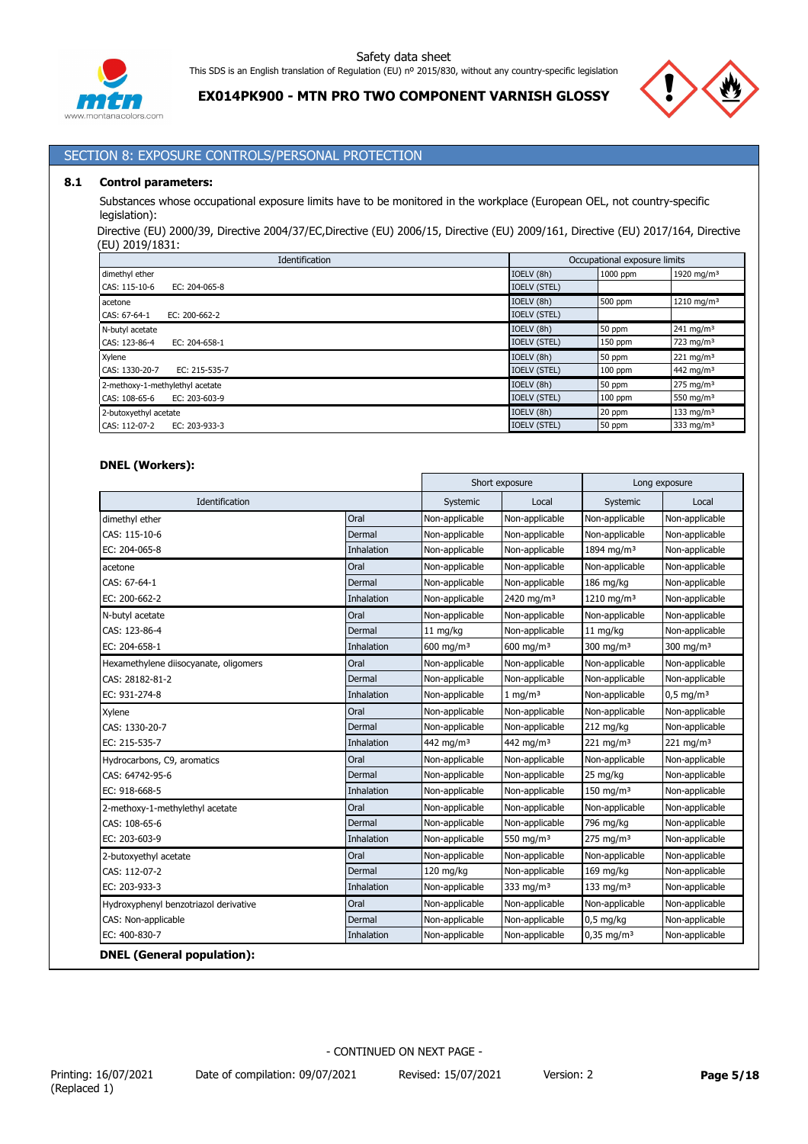

**EX014PK900 - MTN PRO TWO COMPONENT VARNISH GLOSSY**



# SECTION 8: EXPOSURE CONTROLS/PERSONAL PROTECTION

#### **8.1 Control parameters:**

Substances whose occupational exposure limits have to be monitored in the workplace (European OEL, not country-specific legislation):

Directive (EU) 2000/39, Directive 2004/37/EC,Directive (EU) 2006/15, Directive (EU) 2009/161, Directive (EU) 2017/164, Directive (EU) 2019/1831:

| Identification                      | Occupational exposure limits |           |                        |
|-------------------------------------|------------------------------|-----------|------------------------|
| dimethyl ether                      | IOELV (8h)                   | 1000 ppm  | 1920 mg/m <sup>3</sup> |
| CAS: 115-10-6<br>EC: 204-065-8      | <b>IOELV (STEL)</b>          |           |                        |
| acetone                             | IOELV (8h)                   | 500 ppm   | 1210 mg/m <sup>3</sup> |
| CAS: 67-64-1<br>EC: $200 - 662 - 2$ | <b>IOELV (STEL)</b>          |           |                        |
| N-butyl acetate                     | IOELV (8h)                   | 50 ppm    | $241 \text{ mg/m}^3$   |
| CAS: 123-86-4<br>EC: 204-658-1      | <b>IOELV (STEL)</b>          | $150$ ppm | 723 mg/m $3$           |
| Xylene                              | IOELV (8h)                   | 50 ppm    | $221 \text{ mg/m}^3$   |
| CAS: 1330-20-7<br>EC: 215-535-7     | <b>IOELV (STEL)</b>          | $100$ ppm | 442 mg/m <sup>3</sup>  |
| 2-methoxy-1-methylethyl acetate     | IOELV (8h)                   | 50 ppm    | $275 \text{ mg/m}^3$   |
| CAS: 108-65-6<br>EC: 203-603-9      | <b>IOELV (STEL)</b>          | $100$ ppm | 550 mg/m $3$           |
| 2-butoxyethyl acetate               | IOELV (8h)                   | 20 ppm    | 133 mg/m $3$           |
| CAS: 112-07-2<br>EC: 203-933-3      | <b>IOELV (STEL)</b>          | 50 ppm    | 333 mg/m $3$           |

## **DNEL (Workers):**

|                                       |            |                         | Short exposure         |                        | Long exposure           |
|---------------------------------------|------------|-------------------------|------------------------|------------------------|-------------------------|
| Identification                        |            | Systemic                | Local                  | Systemic               | Local                   |
| dimethyl ether                        | Oral       | Non-applicable          | Non-applicable         | Non-applicable         | Non-applicable          |
| CAS: 115-10-6                         | Dermal     | Non-applicable          | Non-applicable         | Non-applicable         | Non-applicable          |
| EC: 204-065-8                         | Inhalation | Non-applicable          | Non-applicable         | 1894 mg/m <sup>3</sup> | Non-applicable          |
| acetone                               | Oral       | Non-applicable          | Non-applicable         | Non-applicable         | Non-applicable          |
| CAS: 67-64-1                          | Dermal     | Non-applicable          | Non-applicable         | 186 mg/kg              | Non-applicable          |
| EC: 200-662-2                         | Inhalation | Non-applicable          | 2420 mg/m <sup>3</sup> | 1210 mg/m <sup>3</sup> | Non-applicable          |
| N-butyl acetate                       | Oral       | Non-applicable          | Non-applicable         | Non-applicable         | Non-applicable          |
| CAS: 123-86-4                         | Dermal     | 11 mg/kg                | Non-applicable         | 11 mg/kg               | Non-applicable          |
| EC: 204-658-1                         | Inhalation | $600$ mg/m <sup>3</sup> | $600 \text{ mg/m}^3$   | 300 mg/m $3$           | 300 mg/m $3$            |
| Hexamethylene diisocyanate, oligomers | Oral       | Non-applicable          | Non-applicable         | Non-applicable         | Non-applicable          |
| CAS: 28182-81-2                       | Dermal     | Non-applicable          | Non-applicable         | Non-applicable         | Non-applicable          |
| EC: 931-274-8                         | Inhalation | Non-applicable          | $1 \text{ mg/m}^3$     | Non-applicable         | $0.5$ mg/m <sup>3</sup> |
| Xylene                                | Oral       | Non-applicable          | Non-applicable         | Non-applicable         | Non-applicable          |
| CAS: 1330-20-7                        | Dermal     | Non-applicable          | Non-applicable         | 212 mg/kg              | Non-applicable          |
| EC: 215-535-7                         | Inhalation | 442 mg/m $3$            | 442 mg/m <sup>3</sup>  | 221 mg/m $3$           | 221 mg/m $3$            |
| Hydrocarbons, C9, aromatics           | Oral       | Non-applicable          | Non-applicable         | Non-applicable         | Non-applicable          |
| CAS: 64742-95-6                       | Dermal     | Non-applicable          | Non-applicable         | 25 mg/kg               | Non-applicable          |
| EC: 918-668-5                         | Inhalation | Non-applicable          | Non-applicable         | 150 mg/m $3$           | Non-applicable          |
| 2-methoxy-1-methylethyl acetate       | Oral       | Non-applicable          | Non-applicable         | Non-applicable         | Non-applicable          |
| CAS: 108-65-6                         | Dermal     | Non-applicable          | Non-applicable         | 796 mg/kg              | Non-applicable          |
| EC: 203-603-9                         | Inhalation | Non-applicable          | 550 mg/m <sup>3</sup>  | 275 mg/m $3$           | Non-applicable          |
| 2-butoxyethyl acetate                 | Oral       | Non-applicable          | Non-applicable         | Non-applicable         | Non-applicable          |
| CAS: 112-07-2                         | Dermal     | 120 mg/kg               | Non-applicable         | 169 mg/kg              | Non-applicable          |
| EC: 203-933-3                         | Inhalation | Non-applicable          | 333 mg/m <sup>3</sup>  | 133 mg/m $3$           | Non-applicable          |
| Hydroxyphenyl benzotriazol derivative | Oral       | Non-applicable          | Non-applicable         | Non-applicable         | Non-applicable          |
| CAS: Non-applicable                   | Dermal     | Non-applicable          | Non-applicable         | $0,5$ mg/kg            | Non-applicable          |
| EC: 400-830-7                         | Inhalation | Non-applicable          | Non-applicable         | $0,35 \text{ mg/m}^3$  | Non-applicable          |
| <b>DNEL</b> (General population):     |            |                         |                        |                        |                         |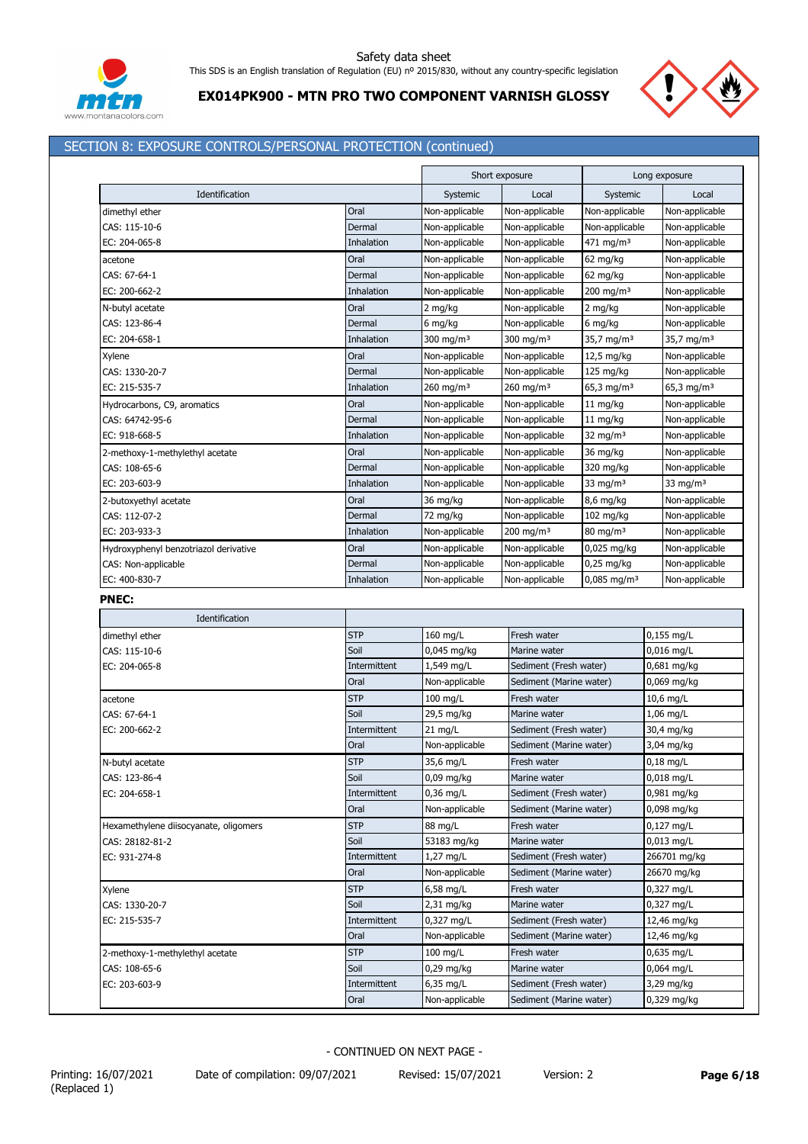

# **EX014PK900 - MTN PRO TWO COMPONENT VARNISH GLOSSY**

# SECTION 8: EXPOSURE CONTROLS/PERSONAL PROTECTION (continued)

|                                       |              |                       | Short exposure          |                           | Long exposure          |
|---------------------------------------|--------------|-----------------------|-------------------------|---------------------------|------------------------|
| Identification                        |              | Systemic              | Local                   | Systemic                  | Local                  |
| dimethyl ether                        | Oral         | Non-applicable        | Non-applicable          | Non-applicable            | Non-applicable         |
| CAS: 115-10-6                         | Dermal       | Non-applicable        | Non-applicable          | Non-applicable            | Non-applicable         |
| EC: 204-065-8                         | Inhalation   | Non-applicable        | Non-applicable          | 471 mg/m <sup>3</sup>     | Non-applicable         |
| acetone                               | Oral         | Non-applicable        | Non-applicable          | 62 mg/kg                  | Non-applicable         |
| CAS: 67-64-1                          | Dermal       | Non-applicable        | Non-applicable          | 62 mg/kg                  | Non-applicable         |
| EC: 200-662-2                         | Inhalation   | Non-applicable        | Non-applicable          | 200 mg/m <sup>3</sup>     | Non-applicable         |
| N-butyl acetate                       | Oral         | 2 mg/kg               | Non-applicable          | 2 mg/kg                   | Non-applicable         |
| CAS: 123-86-4                         | Dermal       | 6 mg/kg               | Non-applicable          | 6 mg/kg                   | Non-applicable         |
| EC: 204-658-1                         | Inhalation   | 300 mg/m <sup>3</sup> | 300 mg/m <sup>3</sup>   | 35,7 mg/m <sup>3</sup>    | 35,7 mg/m <sup>3</sup> |
| Xylene                                | Oral         | Non-applicable        | Non-applicable          | 12,5 mg/kg                | Non-applicable         |
| CAS: 1330-20-7                        | Dermal       | Non-applicable        | Non-applicable          | 125 mg/kg                 | Non-applicable         |
| EC: 215-535-7                         | Inhalation   | 260 mg/m <sup>3</sup> | $260$ mg/m <sup>3</sup> | 65,3 mg/m <sup>3</sup>    | 65,3 mg/m <sup>3</sup> |
| Hydrocarbons, C9, aromatics           | Oral         | Non-applicable        | Non-applicable          | $11$ mg/kg                | Non-applicable         |
| CAS: 64742-95-6                       | Dermal       | Non-applicable        | Non-applicable          | $11$ mg/kg                | Non-applicable         |
| EC: 918-668-5                         | Inhalation   | Non-applicable        | Non-applicable          | 32 mg/m $3$               | Non-applicable         |
| 2-methoxy-1-methylethyl acetate       | Oral         | Non-applicable        | Non-applicable          | 36 mg/kg                  | Non-applicable         |
| CAS: 108-65-6                         | Dermal       | Non-applicable        | Non-applicable          | 320 mg/kg                 | Non-applicable         |
| EC: 203-603-9                         | Inhalation   | Non-applicable        | Non-applicable          | 33 mg/m $3$               | 33 mg/m $3$            |
| 2-butoxyethyl acetate                 | Oral         | 36 mg/kg              | Non-applicable          | $8,6$ mg/kg               | Non-applicable         |
| CAS: 112-07-2                         | Dermal       | 72 mg/kg              | Non-applicable          | $102$ mg/kg               | Non-applicable         |
| EC: 203-933-3                         | Inhalation   | Non-applicable        | 200 mg/m $3$            | $80 \text{ mg/m}^3$       | Non-applicable         |
| Hydroxyphenyl benzotriazol derivative | Oral         | Non-applicable        | Non-applicable          | $0,025$ mg/kg             | Non-applicable         |
| CAS: Non-applicable                   | Dermal       | Non-applicable        | Non-applicable          | 0,25 mg/kg                | Non-applicable         |
| EC: 400-830-7                         | Inhalation   | Non-applicable        | Non-applicable          | $0,085$ mg/m <sup>3</sup> | Non-applicable         |
| <b>PNEC:</b>                          |              |                       |                         |                           |                        |
| Identification                        |              |                       |                         |                           |                        |
| dimethyl ether                        | <b>STP</b>   | 160 mg/L              | Fresh water             |                           | 0,155 mg/L             |
| CAS: 115-10-6                         | Soil         | $0,045$ mg/kg         | Marine water            |                           | $0,016$ mg/L           |
| EC: 204-065-8                         | Intermittent | 1,549 mg/L            | Sediment (Fresh water)  |                           | 0,681 mg/kg            |
|                                       | Oral         | Non-applicable        | Sediment (Marine water) |                           | 0,069 mg/kg            |
| acetone                               | <b>STP</b>   | $100$ mg/L            | Fresh water             |                           | 10,6 mg/L              |
| CAS: 67-64-1                          | Soil         | 29,5 mg/kg            | Marine water            |                           | $1,06$ mg/L            |
| EC: 200-662-2                         | Intermittent | $21$ mg/L             | Sediment (Fresh water)  |                           | 30,4 mg/kg             |
|                                       | Oral         | Non-applicable        | Sediment (Marine water) |                           | 3,04 mg/kg             |
| N-butyl acetate                       | <b>STP</b>   | 35,6 mg/L             | Fresh water             |                           | $0,18$ mg/L            |
| CAS: 123-86-4                         | Soil         | 0,09 mg/kg            | Marine water            |                           | 0,018 mg/L             |
| EC: 204-658-1                         | Intermittent | $0,36$ mg/L           | Sediment (Fresh water)  |                           | 0,981 mg/kg            |
|                                       | Oral         | Non-applicable        | Sediment (Marine water) |                           | 0,098 mg/kg            |
| Hexamethylene diisocyanate, oligomers | <b>STP</b>   | 88 mg/L               | Fresh water             |                           | 0,127 mg/L             |
| CAS: 28182-81-2                       | Soil         | 53183 mg/kg           | Marine water            |                           | $0,013$ mg/L           |
| EC: 931-274-8                         | Intermittent | 1,27 mg/L             | Sediment (Fresh water)  |                           | 266701 mg/kg           |
|                                       | Oral         | Non-applicable        | Sediment (Marine water) |                           | 26670 mg/kg            |
| Xylene                                | <b>STP</b>   | 6,58 mg/L             | Fresh water             |                           | 0,327 mg/L             |
| CAS: 1330-20-7                        | Soil         | $2,31$ mg/kg          | Marine water            |                           | 0,327 mg/L             |
| EC: 215-535-7                         | Intermittent | 0,327 mg/L            | Sediment (Fresh water)  |                           | 12,46 mg/kg            |
|                                       | Oral         | Non-applicable        | Sediment (Marine water) |                           | 12,46 mg/kg            |
| 2-methoxy-1-methylethyl acetate       | <b>STP</b>   | 100 mg/L              | Fresh water             |                           | 0,635 mg/L             |
| CAS: 108-65-6                         | Soil         | $0,29$ mg/kg          | Marine water            |                           | 0,064 mg/L             |
| EC: 203-603-9                         | Intermittent | 6,35 mg/L             | Sediment (Fresh water)  |                           | 3,29 mg/kg             |
|                                       | Oral         | Non-applicable        | Sediment (Marine water) |                           | 0,329 mg/kg            |
|                                       |              |                       |                         |                           |                        |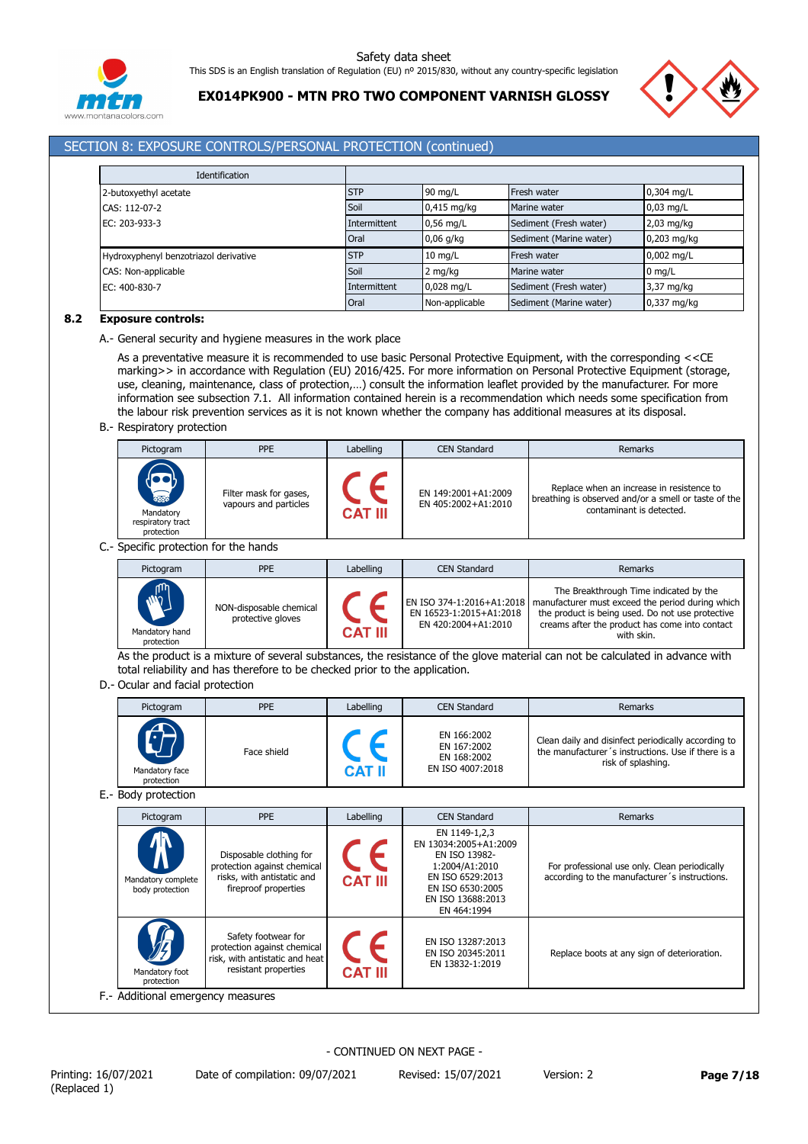

**EX014PK900 - MTN PRO TWO COMPONENT VARNISH GLOSSY**



## SECTION 8: EXPOSURE CONTROLS/PERSONAL PROTECTION (continued)

| Identification                        |              |                |                         |                  |
|---------------------------------------|--------------|----------------|-------------------------|------------------|
| 2-butoxyethyl acetate                 | <b>STP</b>   | 90 mg/L        | Fresh water             | 0,304 mg/L       |
| CAS: 112-07-2                         | Soil         | $0,415$ mg/kg  | Marine water            | $0.03$ mg/L      |
| EC: 203-933-3                         | Intermittent | $0.56$ mg/L    | Sediment (Fresh water)  | $2,03$ mg/kg     |
|                                       | Oral         | $0,06$ g/kg    | Sediment (Marine water) | 0,203 mg/kg      |
| Hydroxyphenyl benzotriazol derivative | <b>STP</b>   | $10$ mg/L      | Fresh water             | 0,002 mg/L       |
| CAS: Non-applicable                   | Soil         | 2 mg/kg        | Marine water            | $0 \text{ mg/L}$ |
| EC: 400-830-7                         | Intermittent | 0,028 mg/L     | Sediment (Fresh water)  | 3,37 mg/kg       |
|                                       | Oral         | Non-applicable | Sediment (Marine water) | 0,337 mg/kg      |

## **8.2 Exposure controls:**

A.- General security and hygiene measures in the work place

As a preventative measure it is recommended to use basic Personal Protective Equipment, with the corresponding <<CE marking>> in accordance with Regulation (EU) 2016/425. For more information on Personal Protective Equipment (storage, use, cleaning, maintenance, class of protection,…) consult the information leaflet provided by the manufacturer. For more information see subsection 7.1. All information contained herein is a recommendation which needs some specification from the labour risk prevention services as it is not known whether the company has additional measures at its disposal.

B.- Respiratory protection

| Pictogram                                                  | <b>PPE</b>                                      | Labelling      | <b>CEN Standard</b>                        | Remarks                                                                                                                       |
|------------------------------------------------------------|-------------------------------------------------|----------------|--------------------------------------------|-------------------------------------------------------------------------------------------------------------------------------|
| <b>RED</b><br>Mandatory<br>respiratory tract<br>protection | Filter mask for gases,<br>vapours and particles | <b>CAT III</b> | EN 149:2001+A1:2009<br>EN 405:2002+A1:2010 | Replace when an increase in resistence to<br>breathing is observed and/or a smell or taste of the<br>contaminant is detected. |

C.- Specific protection for the hands

| Pictogram                                            | <b>PPE</b>                                   | Labelling      | <b>CEN Standard</b>                            | Remarks                                                                                                                                                                                                                                    |
|------------------------------------------------------|----------------------------------------------|----------------|------------------------------------------------|--------------------------------------------------------------------------------------------------------------------------------------------------------------------------------------------------------------------------------------------|
| <b>M<sub>7</sub></b><br>Mandatory hand<br>protection | NON-disposable chemical<br>protective gloves | <b>CAT III</b> | EN 16523-1:2015+A1:2018<br>EN 420:2004+A1:2010 | The Breakthrough Time indicated by the<br>EN ISO 374-1:2016+A1:2018   manufacturer must exceed the period during which<br>the product is being used. Do not use protective<br>creams after the product has come into contact<br>with skin. |

As the product is a mixture of several substances, the resistance of the glove material can not be calculated in advance with total reliability and has therefore to be checked prior to the application.

D.- Ocular and facial protection

| Pictogram                         | <b>PPE</b>  | Labelling     | <b>CEN Standard</b>                                           | Remarks                                                                                                                         |
|-----------------------------------|-------------|---------------|---------------------------------------------------------------|---------------------------------------------------------------------------------------------------------------------------------|
| A<br>Mandatory face<br>protection | Face shield | <b>CAT II</b> | EN 166:2002<br>EN 167:2002<br>EN 168:2002<br>EN ISO 4007:2018 | Clean daily and disinfect periodically according to<br>the manufacturer's instructions. Use if there is a<br>risk of splashing. |
| E.- Body protection               |             |               |                                                               |                                                                                                                                 |

| Pictogram                                              | <b>PPE</b>                                                                                                   | Labelling      | <b>CEN Standard</b>                                                                                                                                   | Remarks                                                                                        |  |  |  |
|--------------------------------------------------------|--------------------------------------------------------------------------------------------------------------|----------------|-------------------------------------------------------------------------------------------------------------------------------------------------------|------------------------------------------------------------------------------------------------|--|--|--|
| <mark></mark><br>Mandatory complete<br>body protection | Disposable clothing for<br>protection against chemical<br>risks, with antistatic and<br>fireproof properties | <b>CAT III</b> | EN 1149-1,2,3<br>EN 13034:2005+A1:2009<br>EN ISO 13982-<br>1:2004/A1:2010<br>EN ISO 6529:2013<br>EN ISO 6530:2005<br>EN ISO 13688:2013<br>EN 464:1994 | For professional use only. Clean periodically<br>according to the manufacturer's instructions. |  |  |  |
| Mandatory foot<br>protection                           | Safety footwear for<br>protection against chemical<br>risk, with antistatic and heat<br>resistant properties | <b>CAT III</b> | EN ISO 13287:2013<br>EN ISO 20345:2011<br>EN 13832-1:2019                                                                                             | Replace boots at any sign of deterioration.                                                    |  |  |  |
|                                                        | F.- Additional emergency measures                                                                            |                |                                                                                                                                                       |                                                                                                |  |  |  |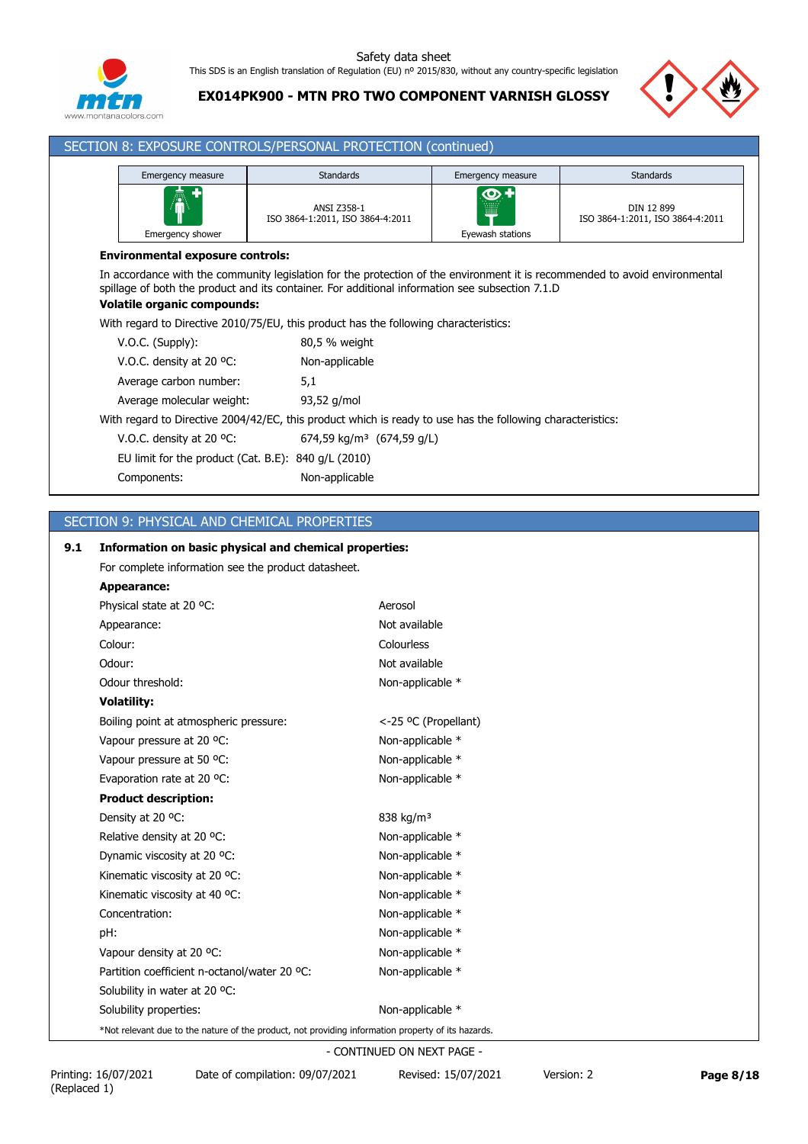

**EX014PK900 - MTN PRO TWO COMPONENT VARNISH GLOSSY**



| SECTION 8: EXPOSURE CONTROLS/PERSONAL PROTECTION (continued) |                                                                                                                                                                                                                                                                                                                                                              |                                                        |                              |                                                |  |  |  |  |
|--------------------------------------------------------------|--------------------------------------------------------------------------------------------------------------------------------------------------------------------------------------------------------------------------------------------------------------------------------------------------------------------------------------------------------------|--------------------------------------------------------|------------------------------|------------------------------------------------|--|--|--|--|
| Emergency measure                                            |                                                                                                                                                                                                                                                                                                                                                              | <b>Standards</b>                                       | Emergency measure            | <b>Standards</b>                               |  |  |  |  |
|                                                              | Emergency shower                                                                                                                                                                                                                                                                                                                                             | <b>ANSI Z358-1</b><br>ISO 3864-1:2011, ISO 3864-4:2011 | დ.+<br>W<br>Eyewash stations | DIN 12 899<br>ISO 3864-1:2011, ISO 3864-4:2011 |  |  |  |  |
|                                                              | <b>Environmental exposure controls:</b>                                                                                                                                                                                                                                                                                                                      |                                                        |                              |                                                |  |  |  |  |
|                                                              | In accordance with the community legislation for the protection of the environment it is recommended to avoid environmental<br>spillage of both the product and its container. For additional information see subsection 7.1.D<br><b>Volatile organic compounds:</b><br>With regard to Directive 2010/75/EU, this product has the following characteristics: |                                                        |                              |                                                |  |  |  |  |
|                                                              | V.O.C. (Supply):                                                                                                                                                                                                                                                                                                                                             | 80,5 % weight                                          |                              |                                                |  |  |  |  |
|                                                              | V.O.C. density at 20 $^{\circ}$ C:                                                                                                                                                                                                                                                                                                                           | Non-applicable                                         |                              |                                                |  |  |  |  |
|                                                              | Average carbon number:                                                                                                                                                                                                                                                                                                                                       | 5,1                                                    |                              |                                                |  |  |  |  |
|                                                              | Average molecular weight:                                                                                                                                                                                                                                                                                                                                    | 93,52 g/mol                                            |                              |                                                |  |  |  |  |
|                                                              | With regard to Directive 2004/42/EC, this product which is ready to use has the following characteristics:                                                                                                                                                                                                                                                   |                                                        |                              |                                                |  |  |  |  |
|                                                              | 674,59 kg/m <sup>3</sup> (674,59 g/L)<br>V.O.C. density at 20 $^{\circ}$ C:                                                                                                                                                                                                                                                                                  |                                                        |                              |                                                |  |  |  |  |
|                                                              | EU limit for the product (Cat. B.E): $840$ g/L (2010)                                                                                                                                                                                                                                                                                                        |                                                        |                              |                                                |  |  |  |  |
|                                                              | Components:                                                                                                                                                                                                                                                                                                                                                  | Non-applicable                                         |                              |                                                |  |  |  |  |

# SECTION 9: PHYSICAL AND CHEMICAL PROPERTIES

# **9.1 Information on basic physical and chemical properties:**

| For complete information see the product datasheet.                                                |                            |
|----------------------------------------------------------------------------------------------------|----------------------------|
| Appearance:                                                                                        |                            |
| Physical state at 20 °C:                                                                           | Aerosol                    |
| Appearance:                                                                                        | Not available              |
| Colour:                                                                                            | Colourless                 |
| Odour:                                                                                             | Not available              |
| Odour threshold:                                                                                   | Non-applicable *           |
| <b>Volatility:</b>                                                                                 |                            |
| Boiling point at atmospheric pressure:                                                             | <-25 °C (Propellant)       |
| Vapour pressure at 20 °C:                                                                          | Non-applicable *           |
| Vapour pressure at 50 °C:                                                                          | Non-applicable *           |
| Evaporation rate at 20 °C:                                                                         | Non-applicable *           |
| <b>Product description:</b>                                                                        |                            |
| Density at 20 °C:                                                                                  | 838 kg/m <sup>3</sup>      |
| Relative density at 20 °C:                                                                         | Non-applicable *           |
| Dynamic viscosity at 20 °C:                                                                        | Non-applicable *           |
| Kinematic viscosity at 20 °C:                                                                      | Non-applicable *           |
| Kinematic viscosity at 40 °C:                                                                      | Non-applicable *           |
| Concentration:                                                                                     | Non-applicable *           |
| pH:                                                                                                | Non-applicable *           |
| Vapour density at 20 °C:                                                                           | Non-applicable *           |
| Partition coefficient n-octanol/water 20 °C:                                                       | Non-applicable *           |
| Solubility in water at 20 °C:                                                                      |                            |
| Solubility properties:                                                                             | Non-applicable *           |
| *Not relevant due to the nature of the product, not providing information property of its hazards. |                            |
|                                                                                                    | - CONTINUED ON NEXT PAGE - |

Printing: 16/07/2021 Date of compilation: 09/07/2021 Revised: 15/07/2021 Version: 2 **Page 8/18**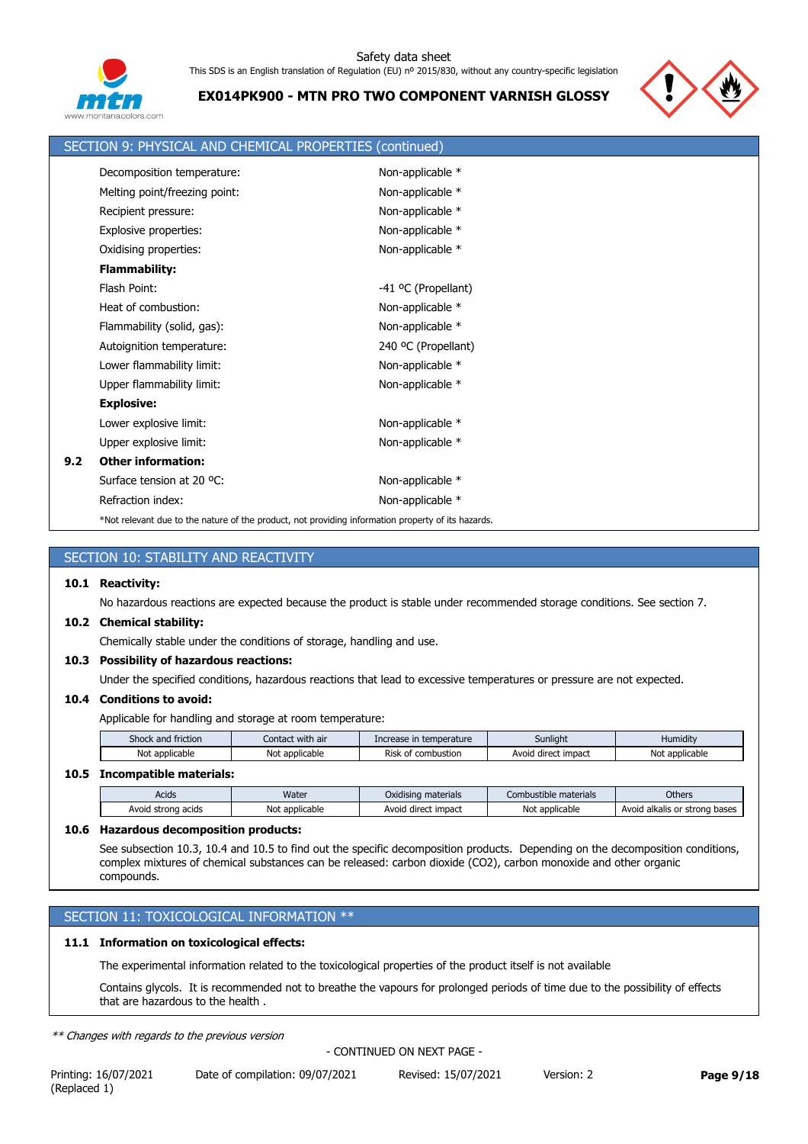

**EX014PK900 - MTN PRO TWO COMPONENT VARNISH GLOSSY**



|     | SECTION 9: PHYSICAL AND CHEMICAL PROPERTIES (continued)                                            |                     |
|-----|----------------------------------------------------------------------------------------------------|---------------------|
|     | Decomposition temperature:                                                                         | Non-applicable *    |
|     | Melting point/freezing point:                                                                      | Non-applicable *    |
|     | Recipient pressure:                                                                                | Non-applicable *    |
|     | Explosive properties:                                                                              | Non-applicable *    |
|     | Oxidising properties:                                                                              | Non-applicable *    |
|     | <b>Flammability:</b>                                                                               |                     |
|     | Flash Point:                                                                                       | -41 °C (Propellant) |
|     | Heat of combustion:                                                                                | Non-applicable *    |
|     | Flammability (solid, gas):                                                                         | Non-applicable *    |
|     | Autoignition temperature:                                                                          | 240 °C (Propellant) |
|     | Lower flammability limit:                                                                          | Non-applicable *    |
|     | Upper flammability limit:                                                                          | Non-applicable *    |
|     | <b>Explosive:</b>                                                                                  |                     |
|     | Lower explosive limit:                                                                             | Non-applicable *    |
|     | Upper explosive limit:                                                                             | Non-applicable *    |
| 9.2 | <b>Other information:</b>                                                                          |                     |
|     | Surface tension at 20 °C:                                                                          | Non-applicable *    |
|     | Refraction index:                                                                                  | Non-applicable *    |
|     | *Not relevant due to the nature of the product, not providing information property of its hazards. |                     |

|      | SECTION 10: STABILITY AND REACTIVITY                                                                                   |
|------|------------------------------------------------------------------------------------------------------------------------|
| 10.1 | <b>Reactivity:</b>                                                                                                     |
|      | No hazardous reactions are expected because the product is stable under recommended storage conditions. See section 7. |
|      | 10.2 Chemical stability:                                                                                               |
|      | Chemically stable under the conditions of storage, handling and use.                                                   |
|      | 10.3 Possibility of hazardous reactions:                                                                               |
|      | Under the specified conditions, hazardous reactions that lead to excessive temperatures or pressure are not expected.  |
|      | 10.4 Conditions to avoid:                                                                                              |

Applicable for handling and storage at room temperature:

| Shock and friction | Contact with air    | Increase in temperature      | Sunlight            | Humidity       |
|--------------------|---------------------|------------------------------|---------------------|----------------|
| Not applicable     | Not<br>: applicable | Risk<br>combustion<br>$\sim$ | Avoid direct impact | Not applicable |

## **10.5 Incompatible materials:**

| Acids                 | Water               | $\mathbf{r}$<br>Oxidising materials | Combustible materials | Others                                  |
|-----------------------|---------------------|-------------------------------------|-----------------------|-----------------------------------------|
| Avoid<br>strong acids | Not<br>: applicable | Avoid direct impact                 | Not<br>* applicable * | strong bases '<br>l alkalis or<br>Avoig |

## **10.6 Hazardous decomposition products:**

See subsection 10.3, 10.4 and 10.5 to find out the specific decomposition products. Depending on the decomposition conditions, complex mixtures of chemical substances can be released: carbon dioxide (CO2), carbon monoxide and other organic compounds.

# SECTION 11: TOXICOLOGICAL INFORMATION \*\*

# **11.1 Information on toxicological effects:**

The experimental information related to the toxicological properties of the product itself is not available

Contains glycols. It is recommended not to breathe the vapours for prolonged periods of time due to the possibility of effects that are hazardous to the health .

*\*\* Changes with regards to the previous version*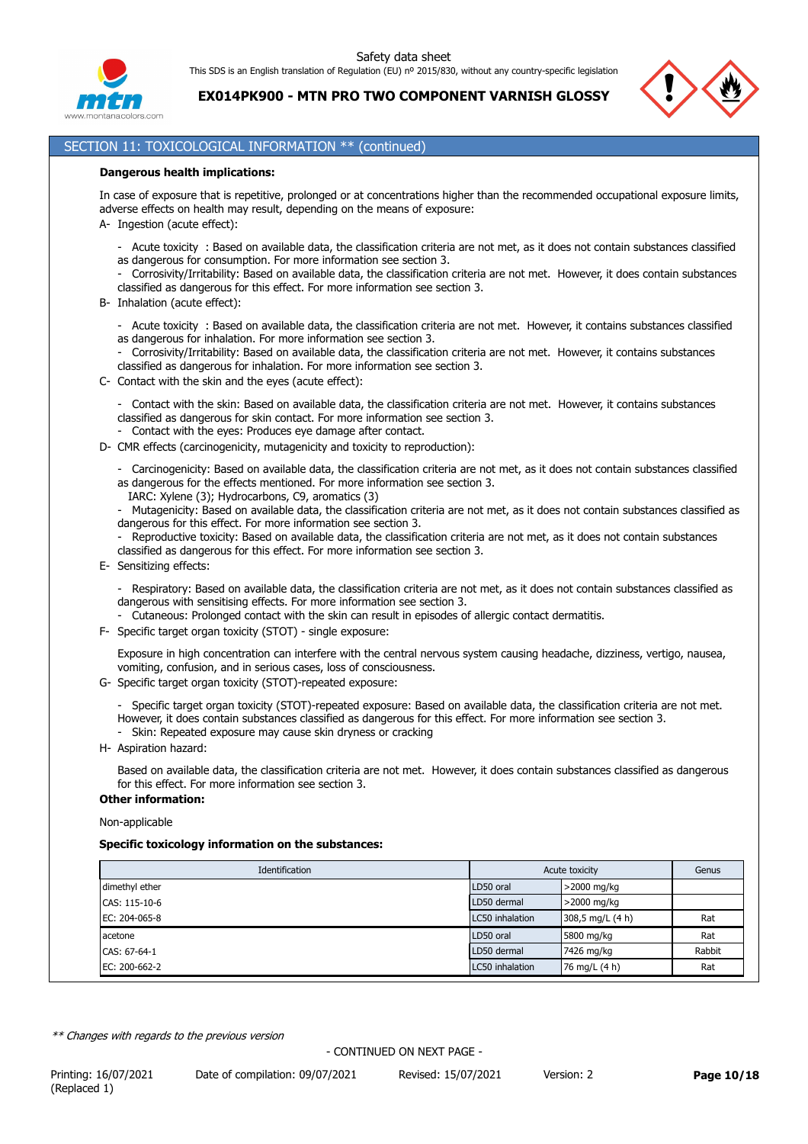

**EX014PK900 - MTN PRO TWO COMPONENT VARNISH GLOSSY**



# SECTION 11: TOXICOLOGICAL INFORMATION \*\* (continued)

### **Dangerous health implications:**

In case of exposure that is repetitive, prolonged or at concentrations higher than the recommended occupational exposure limits, adverse effects on health may result, depending on the means of exposure:

- A- Ingestion (acute effect):
	- Acute toxicity : Based on available data, the classification criteria are not met, as it does not contain substances classified as dangerous for consumption. For more information see section 3.
	- Corrosivity/Irritability: Based on available data, the classification criteria are not met. However, it does contain substances classified as dangerous for this effect. For more information see section 3.
- B- Inhalation (acute effect):
	- Acute toxicity : Based on available data, the classification criteria are not met. However, it contains substances classified as dangerous for inhalation. For more information see section 3.
	- Corrosivity/Irritability: Based on available data, the classification criteria are not met. However, it contains substances classified as dangerous for inhalation. For more information see section 3.
- C- Contact with the skin and the eyes (acute effect):

- Contact with the skin: Based on available data, the classification criteria are not met. However, it contains substances classified as dangerous for skin contact. For more information see section 3.

- Contact with the eyes: Produces eye damage after contact.
- D- CMR effects (carcinogenicity, mutagenicity and toxicity to reproduction):
	- Carcinogenicity: Based on available data, the classification criteria are not met, as it does not contain substances classified as dangerous for the effects mentioned. For more information see section 3.
		- IARC: Xylene (3); Hydrocarbons, C9, aromatics (3)
	- Mutagenicity: Based on available data, the classification criteria are not met, as it does not contain substances classified as dangerous for this effect. For more information see section 3.
	- Reproductive toxicity: Based on available data, the classification criteria are not met, as it does not contain substances classified as dangerous for this effect. For more information see section 3.
- E- Sensitizing effects:
	- Respiratory: Based on available data, the classification criteria are not met, as it does not contain substances classified as dangerous with sensitising effects. For more information see section 3.
	- Cutaneous: Prolonged contact with the skin can result in episodes of allergic contact dermatitis.
- F- Specific target organ toxicity (STOT) single exposure:

Exposure in high concentration can interfere with the central nervous system causing headache, dizziness, vertigo, nausea, vomiting, confusion, and in serious cases, loss of consciousness.

- G- Specific target organ toxicity (STOT)-repeated exposure:
	- Specific target organ toxicity (STOT)-repeated exposure: Based on available data, the classification criteria are not met.
	- However, it does contain substances classified as dangerous for this effect. For more information see section 3.
	- Skin: Repeated exposure may cause skin dryness or cracking
- H- Aspiration hazard:

Based on available data, the classification criteria are not met. However, it does contain substances classified as dangerous for this effect. For more information see section 3.

## **Other information:**

Non-applicable

# **Specific toxicology information on the substances:**

| Identification | Acute toxicity  |                  | Genus  |
|----------------|-----------------|------------------|--------|
| dimethyl ether | LD50 oral       | >2000 mg/kg      |        |
| CAS: 115-10-6  | LD50 dermal     | >2000 mg/kg      |        |
| EC: 204-065-8  | LC50 inhalation | 308,5 mg/L (4 h) | Rat    |
| acetone        | LD50 oral       | 5800 mg/kg       | Rat    |
| CAS: 67-64-1   | LD50 dermal     | 7426 mg/kg       | Rabbit |
| EC: 200-662-2  | LC50 inhalation | 76 mg/L (4 h)    | Rat    |

*\*\* Changes with regards to the previous version*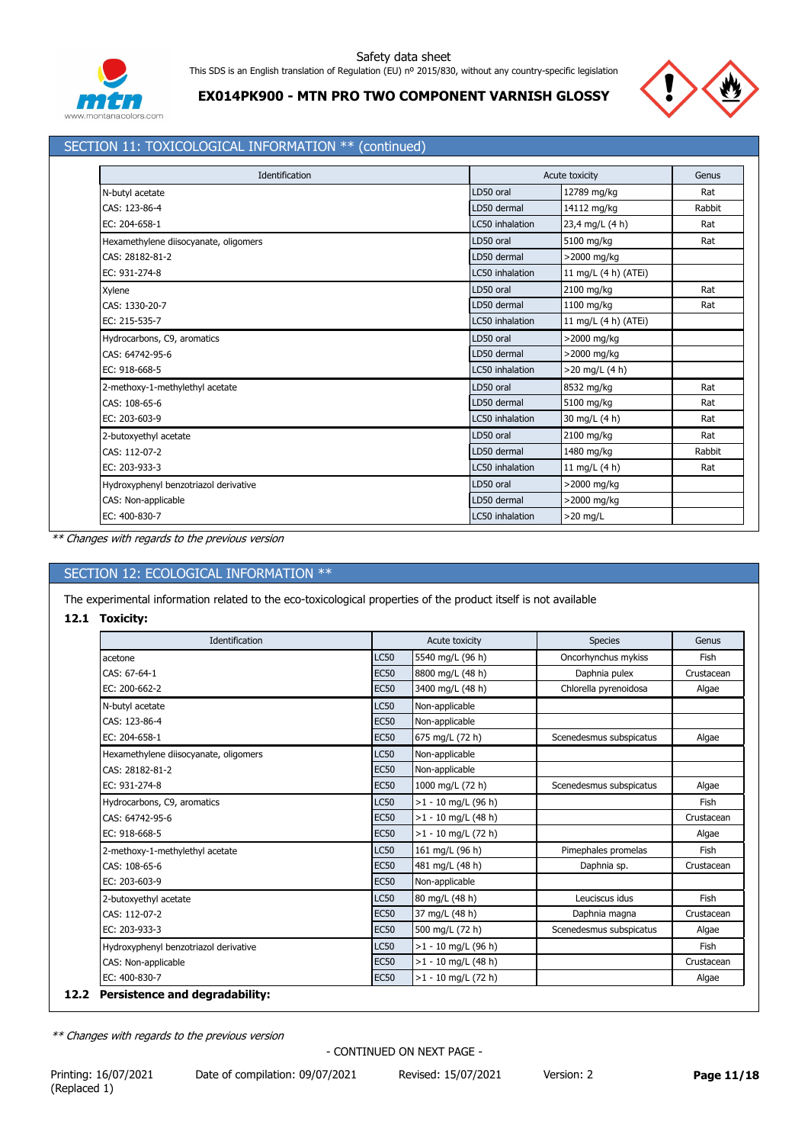



**EX014PK900 - MTN PRO TWO COMPONENT VARNISH GLOSSY**

# SECTION 11: TOXICOLOGICAL INFORMATION \*\* (continued)

| Identification                        |                 | Acute toxicity       | Genus  |
|---------------------------------------|-----------------|----------------------|--------|
| N-butyl acetate                       | LD50 oral       | 12789 mg/kg          | Rat    |
| CAS: 123-86-4                         | LD50 dermal     | 14112 mg/kg          | Rabbit |
| EC: 204-658-1                         | LC50 inhalation | 23,4 mg/L (4 h)      | Rat    |
| Hexamethylene diisocyanate, oligomers | LD50 oral       | 5100 mg/kg           | Rat    |
| CAS: 28182-81-2                       | LD50 dermal     | >2000 mg/kg          |        |
| EC: 931-274-8                         | LC50 inhalation | 11 mg/L (4 h) (ATEi) |        |
| Xylene                                | LD50 oral       | 2100 mg/kg           | Rat    |
| CAS: 1330-20-7                        | LD50 dermal     | 1100 mg/kg           | Rat    |
| EC: 215-535-7                         | LC50 inhalation | 11 mg/L (4 h) (ATEi) |        |
| Hydrocarbons, C9, aromatics           | LD50 oral       | >2000 mg/kg          |        |
| CAS: 64742-95-6                       | LD50 dermal     | >2000 mg/kg          |        |
| EC: 918-668-5                         | LC50 inhalation | $>20$ mg/L (4 h)     |        |
| 2-methoxy-1-methylethyl acetate       | LD50 oral       | 8532 mg/kg           | Rat    |
| CAS: 108-65-6                         | LD50 dermal     | 5100 mg/kg           | Rat    |
| EC: 203-603-9                         | LC50 inhalation | 30 mg/L (4 h)        | Rat    |
| 2-butoxyethyl acetate                 | LD50 oral       | 2100 mg/kg           | Rat    |
| CAS: 112-07-2                         | LD50 dermal     | 1480 mg/kg           | Rabbit |
| EC: 203-933-3                         | LC50 inhalation | 11 mg/L (4 h)        | Rat    |
| Hydroxyphenyl benzotriazol derivative | LD50 oral       | >2000 mg/kg          |        |
| CAS: Non-applicable                   | LD50 dermal     | >2000 mg/kg          |        |
| EC: 400-830-7                         | LC50 inhalation | $>20$ mg/L           |        |

*\*\* Changes with regards to the previous version*

# SECTION 12: ECOLOGICAL INFORMATION \*\*

The experimental information related to the eco-toxicological properties of the product itself is not available

## **12.1 Toxicity:**

| Identification                        |             | Acute toxicity        | <b>Species</b>          | Genus      |
|---------------------------------------|-------------|-----------------------|-------------------------|------------|
| acetone                               | <b>LC50</b> | 5540 mg/L (96 h)      | Oncorhynchus mykiss     | Fish       |
| CAS: 67-64-1                          | <b>EC50</b> | 8800 mg/L (48 h)      | Daphnia pulex           | Crustacean |
| EC: 200-662-2                         | <b>EC50</b> | 3400 mg/L (48 h)      | Chlorella pyrenoidosa   | Algae      |
| N-butyl acetate                       | <b>LC50</b> | Non-applicable        |                         |            |
| CAS: 123-86-4                         | <b>EC50</b> | Non-applicable        |                         |            |
| EC: 204-658-1                         | <b>EC50</b> | 675 mg/L (72 h)       | Scenedesmus subspicatus | Algae      |
| Hexamethylene diisocyanate, oligomers | <b>LC50</b> | Non-applicable        |                         |            |
| CAS: 28182-81-2                       | <b>EC50</b> | Non-applicable        |                         |            |
| EC: 931-274-8                         | <b>EC50</b> | 1000 mg/L (72 h)      | Scenedesmus subspicatus | Algae      |
| Hydrocarbons, C9, aromatics           | <b>LC50</b> | $>1 - 10$ mg/L (96 h) |                         | Fish       |
| CAS: 64742-95-6                       | <b>EC50</b> | $>1 - 10$ mg/L (48 h) |                         | Crustacean |
| EC: 918-668-5                         | <b>EC50</b> | $>1 - 10$ mg/L (72 h) |                         | Algae      |
| 2-methoxy-1-methylethyl acetate       | <b>LC50</b> | 161 mg/L (96 h)       | Pimephales promelas     | Fish       |
| CAS: 108-65-6                         | <b>EC50</b> | 481 mg/L (48 h)       | Daphnia sp.             | Crustacean |
| EC: 203-603-9                         | <b>EC50</b> | Non-applicable        |                         |            |
| 2-butoxyethyl acetate                 | <b>LC50</b> | 80 mg/L (48 h)        | Leuciscus idus          | Fish       |
| CAS: 112-07-2                         | <b>EC50</b> | 37 mg/L (48 h)        | Daphnia magna           | Crustacean |
| EC: 203-933-3                         | <b>EC50</b> | 500 mg/L (72 h)       | Scenedesmus subspicatus | Algae      |
| Hydroxyphenyl benzotriazol derivative | <b>LC50</b> | $>1 - 10$ mg/L (96 h) |                         | Fish       |
| CAS: Non-applicable                   | <b>EC50</b> | $>1 - 10$ mg/L (48 h) |                         | Crustacean |
| EC: 400-830-7                         | <b>EC50</b> | $>1 - 10$ mg/L (72 h) |                         | Algae      |

*\*\* Changes with regards to the previous version*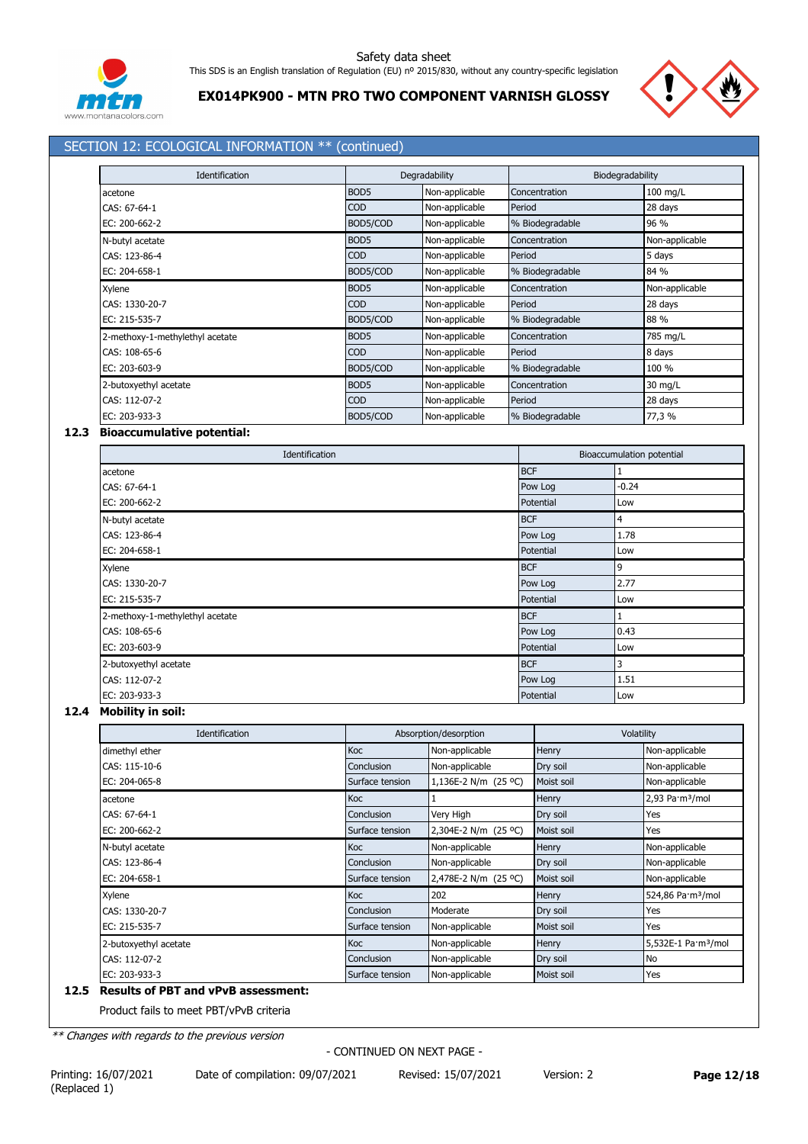



# **EX014PK900 - MTN PRO TWO COMPONENT VARNISH GLOSSY**

# SECTION 12: ECOLOGICAL INFORMATION \*\* (continued)

| <b>Identification</b>           |                  | Degradability  | Biodegradability |                |
|---------------------------------|------------------|----------------|------------------|----------------|
| acetone                         | BOD <sub>5</sub> | Non-applicable | Concentration    | 100 mg/L       |
| CAS: 67-64-1                    | <b>COD</b>       | Non-applicable | Period           | 28 days        |
| EC: 200-662-2                   | BOD5/COD         | Non-applicable | % Biodegradable  | 96 %           |
| N-butyl acetate                 | BOD <sub>5</sub> | Non-applicable | Concentration    | Non-applicable |
| CAS: 123-86-4                   | <b>COD</b>       | Non-applicable | Period           | 5 days         |
| EC: 204-658-1                   | BOD5/COD         | Non-applicable | % Biodegradable  | 84 %           |
| Xylene                          | BOD <sub>5</sub> | Non-applicable | Concentration    | Non-applicable |
| CAS: 1330-20-7                  | <b>COD</b>       | Non-applicable | Period           | 28 days        |
| EC: 215-535-7                   | BOD5/COD         | Non-applicable | % Biodegradable  | 88 %           |
| 2-methoxy-1-methylethyl acetate | BOD <sub>5</sub> | Non-applicable | Concentration    | 785 mg/L       |
| CAS: 108-65-6                   | <b>COD</b>       | Non-applicable | Period           | 8 days         |
| EC: 203-603-9                   | BOD5/COD         | Non-applicable | % Biodegradable  | 100 %          |
| 2-butoxyethyl acetate           | BOD <sub>5</sub> | Non-applicable | Concentration    | 30 mg/L        |
| CAS: 112-07-2                   | <b>COD</b>       | Non-applicable | Period           | 28 days        |
| EC: 203-933-3                   | BOD5/COD         | Non-applicable | % Biodegradable  | 77,3 %         |

## **12.3 Bioaccumulative potential:**

| Identification                  |            | Bioaccumulation potential |
|---------------------------------|------------|---------------------------|
| acetone                         | <b>BCF</b> |                           |
| CAS: 67-64-1                    | Pow Log    | $-0.24$                   |
| EC: 200-662-2                   | Potential  | Low                       |
| N-butyl acetate                 | <b>BCF</b> | $\overline{4}$            |
| CAS: 123-86-4                   | Pow Log    | 1.78                      |
| EC: 204-658-1                   | Potential  | Low                       |
| Xylene                          | <b>BCF</b> | 9                         |
| CAS: 1330-20-7                  | Pow Log    | 2.77                      |
| EC: 215-535-7                   | Potential  | Low                       |
| 2-methoxy-1-methylethyl acetate | <b>BCF</b> |                           |
| CAS: 108-65-6                   | Pow Log    | 0.43                      |
| EC: 203-603-9                   | Potential  | Low                       |
| 2-butoxyethyl acetate           | <b>BCF</b> | 3                         |
| CAS: 112-07-2                   | Pow Log    | 1.51                      |
| EC: 203-933-3                   | Potential  | Low                       |

# **12.4 Mobility in soil:**

| Identification        |                 | Absorption/desorption | Volatility |                                 |
|-----------------------|-----------------|-----------------------|------------|---------------------------------|
| dimethyl ether        | Koc             | Non-applicable        | Henry      | Non-applicable                  |
| CAS: 115-10-6         | Conclusion      | Non-applicable        | Dry soil   | Non-applicable                  |
| EC: 204-065-8         | Surface tension | 1,136E-2 N/m (25 °C)  | Moist soil | Non-applicable                  |
| acetone               | Koc             |                       | Henry      | 2,93 Pa·m <sup>3</sup> /mol     |
| CAS: 67-64-1          | Conclusion      | Very High             | Dry soil   | Yes                             |
| EC: 200-662-2         | Surface tension | 2,304E-2 N/m (25 °C)  | Moist soil | Yes                             |
| N-butyl acetate       | Koc             | Non-applicable        | Henry      | Non-applicable                  |
| CAS: 123-86-4         | Conclusion      | Non-applicable        | Dry soil   | Non-applicable                  |
| EC: 204-658-1         | Surface tension | 2,478E-2 N/m (25 °C)  | Moist soil | Non-applicable                  |
| Xylene                | Koc             | 202                   | Henry      | 524,86 Pa·m <sup>3</sup> /mol   |
| CAS: 1330-20-7        | Conclusion      | Moderate              | Dry soil   | Yes                             |
| EC: 215-535-7         | Surface tension | Non-applicable        | Moist soil | Yes                             |
| 2-butoxyethyl acetate | <b>Koc</b>      | Non-applicable        | Henry      | 5,532E-1 Pa·m <sup>3</sup> /mol |
| CAS: 112-07-2         | Conclusion      | Non-applicable        | Dry soil   | No                              |
| EC: 203-933-3         | Surface tension | Non-applicable        | Moist soil | Yes                             |

### **12.5 Results of PBT and vPvB assessment:**

Product fails to meet PBT/vPvB criteria

*\*\* Changes with regards to the previous version*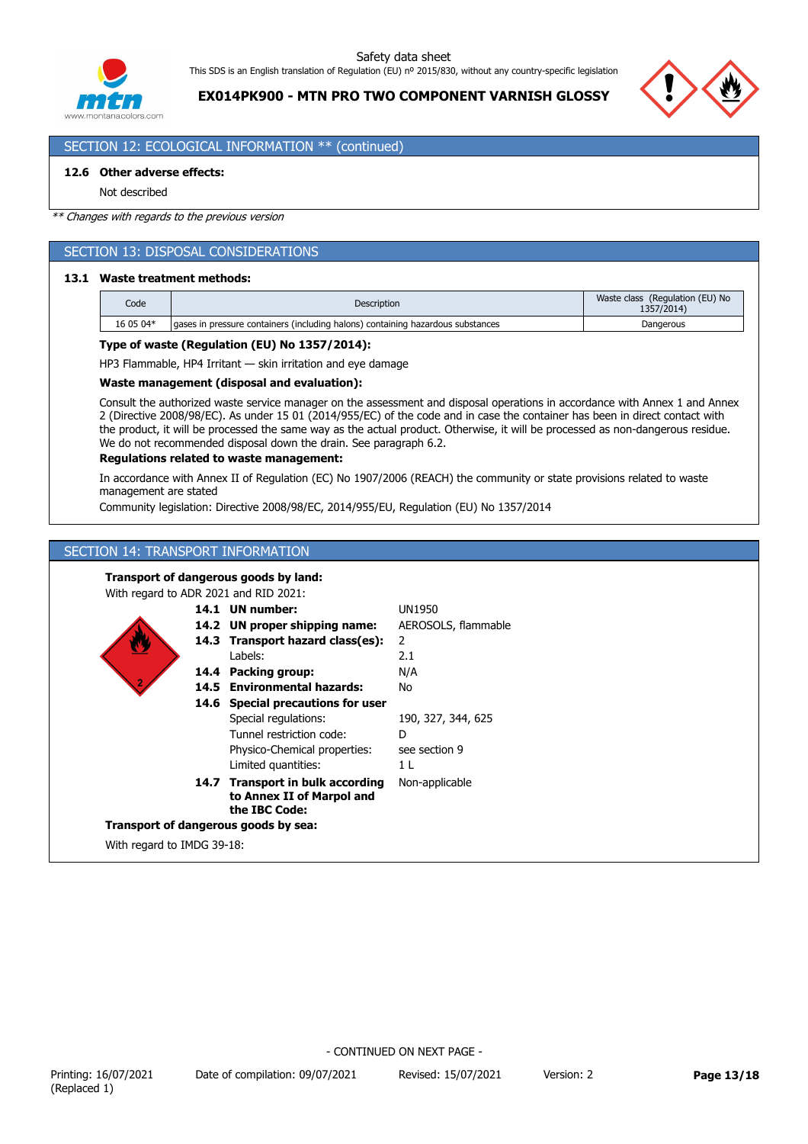

**EX014PK900 - MTN PRO TWO COMPONENT VARNISH GLOSSY**



# SECTION 12: ECOLOGICAL INFORMATION \*\* (continued)

## **12.6 Other adverse effects:**

Not described

#### *\*\* Changes with regards to the previous version*

## SECTION 13: DISPOSAL CONSIDERATIONS

## **13.1 Waste treatment methods:**

| Code      | <b>Description</b>                                                               | Waste class (Regulation (EU) No<br>1357/2014) |  |
|-----------|----------------------------------------------------------------------------------|-----------------------------------------------|--|
| 16 05 04* | laases in pressure containers (including halons) containing hazardous substances | Dangerous                                     |  |

### **Type of waste (Regulation (EU) No 1357/2014):**

HP3 Flammable, HP4 Irritant — skin irritation and eye damage

## **Waste management (disposal and evaluation):**

Consult the authorized waste service manager on the assessment and disposal operations in accordance with Annex 1 and Annex 2 (Directive 2008/98/EC). As under 15 01 (2014/955/EC) of the code and in case the container has been in direct contact with the product, it will be processed the same way as the actual product. Otherwise, it will be processed as non-dangerous residue. We do not recommended disposal down the drain. See paragraph 6.2.

## **Regulations related to waste management:**

In accordance with Annex II of Regulation (EC) No 1907/2006 (REACH) the community or state provisions related to waste management are stated

Community legislation: Directive 2008/98/EC, 2014/955/EU, Regulation (EU) No 1357/2014

## SECTION 14: TRANSPORT INFORMATION

#### **Transport of dangerous goods by land:** With regard to ADR 2021 and RID 2021: 14.7 Transport in bulk according Non-applicable **to Annex II of Marpol and the IBC Code:** 14.6 Special precautions for user **14.5 Environmental hazards:** No Tunnel restriction code: D **14.4 Packing group: 14.3 Transport hazard class(es): 14.2 UN proper shipping name: 14.1 UN number:** Labels: Special regulations: Physico-Chemical properties: UN1950  $\overline{2}$ N/A 2.1 AEROSOLS, flammable 190, 327, 344, 625 see section 9 Limited quantities: 1 L **Transport of dangerous goods by sea:** With regard to IMDG 39-18: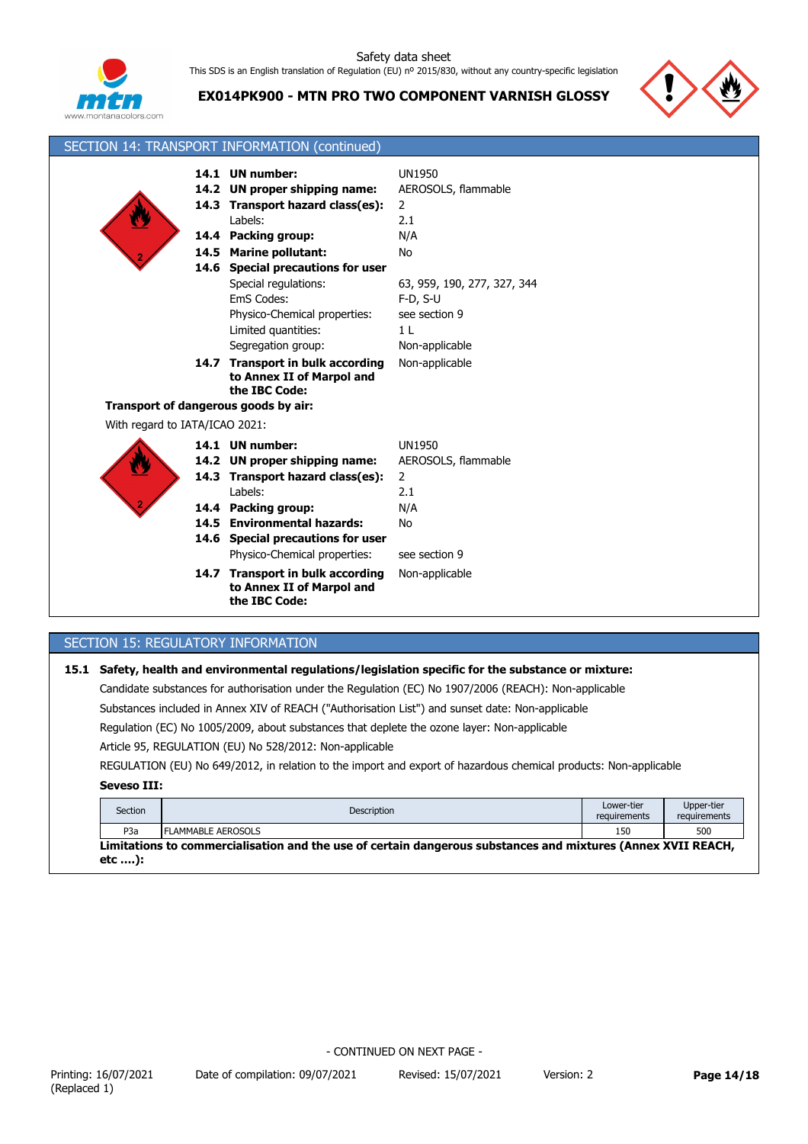

**EX014PK900 - MTN PRO TWO COMPONENT VARNISH GLOSSY**



| SECTION 14: TRANSPORT INFORMATION (continued) |                                                                                                                                                       |                                                                                                |  |  |
|-----------------------------------------------|-------------------------------------------------------------------------------------------------------------------------------------------------------|------------------------------------------------------------------------------------------------|--|--|
|                                               | 14.1 UN number:<br>14.2 UN proper shipping name:<br>14.3 Transport hazard class(es):<br>Labels:                                                       | <b>UN1950</b><br>AEROSOLS, flammable<br>$\overline{2}$<br>2.1                                  |  |  |
|                                               | 14.4 Packing group:                                                                                                                                   | N/A                                                                                            |  |  |
| 14.5                                          | <b>Marine pollutant:</b>                                                                                                                              | No                                                                                             |  |  |
|                                               | 14.6 Special precautions for user<br>Special regulations:<br>EmS Codes:<br>Physico-Chemical properties:<br>Limited quantities:<br>Segregation group:  | 63, 959, 190, 277, 327, 344<br>$F-D, S-U$<br>see section 9<br>1 <sub>L</sub><br>Non-applicable |  |  |
|                                               | 14.7 Transport in bulk according<br>to Annex II of Marpol and<br>the IBC Code:                                                                        | Non-applicable                                                                                 |  |  |
| Transport of dangerous goods by air:          |                                                                                                                                                       |                                                                                                |  |  |
| With regard to IATA/ICAO 2021:                |                                                                                                                                                       |                                                                                                |  |  |
|                                               | 14.1 UN number:<br>14.2 UN proper shipping name:<br>14.3 Transport hazard class(es):<br>Labels:<br>14.4 Packing group:<br>14.5 Environmental hazards: | <b>UN1950</b><br>AEROSOLS, flammable<br>$\overline{2}$<br>2.1<br>N/A<br><b>No</b>              |  |  |
|                                               | 14.6 Special precautions for user<br>Physico-Chemical properties:                                                                                     | see section 9                                                                                  |  |  |
| 14.7                                          | <b>Transport in bulk according</b><br>to Annex II of Marpol and<br>the IBC Code:                                                                      | Non-applicable                                                                                 |  |  |

# SECTION 15: REGULATORY INFORMATION

# **15.1 Safety, health and environmental regulations/legislation specific for the substance or mixture:**

Candidate substances for authorisation under the Regulation (EC) No 1907/2006 (REACH): Non-applicable

Substances included in Annex XIV of REACH ("Authorisation List") and sunset date: Non-applicable

Regulation (EC) No 1005/2009, about substances that deplete the ozone layer: Non-applicable

Article 95, REGULATION (EU) No 528/2012: Non-applicable

REGULATION (EU) No 649/2012, in relation to the import and export of hazardous chemical products: Non-applicable

## **Seveso III:**

| Section<br>Description                                                                                                 |                           | Lower-tier<br>requirements | Upper-tier<br>requirements |  |  |
|------------------------------------------------------------------------------------------------------------------------|---------------------------|----------------------------|----------------------------|--|--|
| P <sub>3</sub> a                                                                                                       | <b>FLAMMABLE AEROSOLS</b> | 150                        | 500                        |  |  |
| Limitations to commercialisation and the use of certain dangerous substances and mixtures (Annex XVII REACH,<br>etc ): |                           |                            |                            |  |  |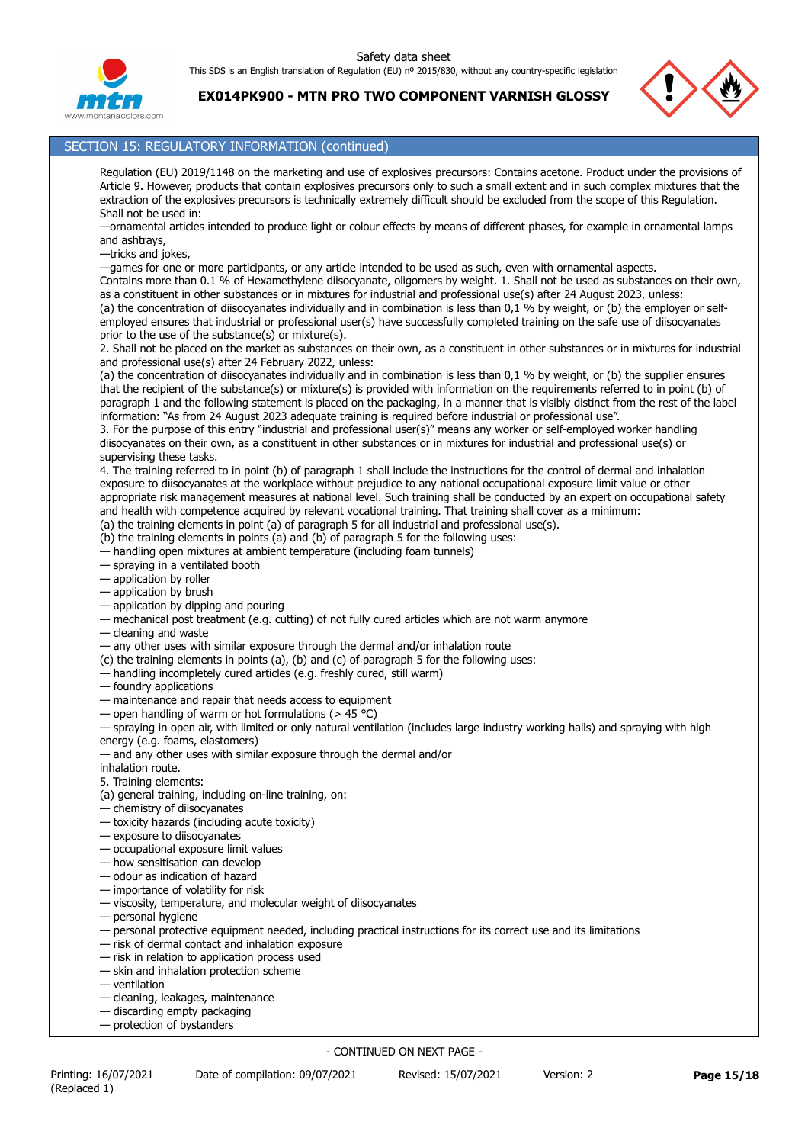**EX014PK900 - MTN PRO TWO COMPONENT VARNISH GLOSSY**



# SECTION 15: REGULATORY INFORMATION (continued)

Regulation (EU) 2019/1148 on the marketing and use of explosives precursors: Contains acetone. Product under the provisions of Article 9. However, products that contain explosives precursors only to such a small extent and in such complex mixtures that the extraction of the explosives precursors is technically extremely difficult should be excluded from the scope of this Regulation. Shall not be used in:

—ornamental articles intended to produce light or colour effects by means of different phases, for example in ornamental lamps and ashtrays,

—tricks and jokes,

—games for one or more participants, or any article intended to be used as such, even with ornamental aspects.

Contains more than 0.1 % of Hexamethylene diisocyanate, oligomers by weight. 1. Shall not be used as substances on their own, as a constituent in other substances or in mixtures for industrial and professional use(s) after 24 August 2023, unless: (a) the concentration of diisocyanates individually and in combination is less than 0,1 % by weight, or (b) the employer or selfemployed ensures that industrial or professional user(s) have successfully completed training on the safe use of diisocyanates

prior to the use of the substance(s) or mixture(s). 2. Shall not be placed on the market as substances on their own, as a constituent in other substances or in mixtures for industrial and professional use(s) after 24 February 2022, unless:

(a) the concentration of diisocyanates individually and in combination is less than 0,1 % by weight, or (b) the supplier ensures that the recipient of the substance(s) or mixture(s) is provided with information on the requirements referred to in point (b) of paragraph 1 and the following statement is placed on the packaging, in a manner that is visibly distinct from the rest of the label information: "As from 24 August 2023 adequate training is required before industrial or professional use".

3. For the purpose of this entry "industrial and professional user(s)" means any worker or self-employed worker handling diisocyanates on their own, as a constituent in other substances or in mixtures for industrial and professional use(s) or supervising these tasks.

4. The training referred to in point (b) of paragraph 1 shall include the instructions for the control of dermal and inhalation exposure to diisocyanates at the workplace without prejudice to any national occupational exposure limit value or other appropriate risk management measures at national level. Such training shall be conducted by an expert on occupational safety and health with competence acquired by relevant vocational training. That training shall cover as a minimum:

(a) the training elements in point (a) of paragraph 5 for all industrial and professional use(s).

(b) the training elements in points (a) and (b) of paragraph 5 for the following uses:

— handling open mixtures at ambient temperature (including foam tunnels)

— spraying in a ventilated booth

— application by roller

— application by brush

— application by dipping and pouring

— mechanical post treatment (e.g. cutting) of not fully cured articles which are not warm anymore

— cleaning and waste

— any other uses with similar exposure through the dermal and/or inhalation route

(c) the training elements in points (a), (b) and (c) of paragraph 5 for the following uses:

— handling incompletely cured articles (e.g. freshly cured, still warm)

— foundry applications

- maintenance and repair that needs access to equipment
- open handling of warm or hot formulations ( $>$  45 °C)

— spraying in open air, with limited or only natural ventilation (includes large industry working halls) and spraying with high energy (e.g. foams, elastomers)

— and any other uses with similar exposure through the dermal and/or

inhalation route.

5. Training elements:

(a) general training, including on-line training, on:

— chemistry of diisocyanates

- toxicity hazards (including acute toxicity)
- exposure to diisocyanates
- occupational exposure limit values
- how sensitisation can develop
- odour as indication of hazard
- importance of volatility for risk
- viscosity, temperature, and molecular weight of diisocyanates
- personal hygiene
- personal protective equipment needed, including practical instructions for its correct use and its limitations
- risk of dermal contact and inhalation exposure
- risk in relation to application process used
- skin and inhalation protection scheme
- ventilation
- cleaning, leakages, maintenance — discarding empty packaging
- protection of bystanders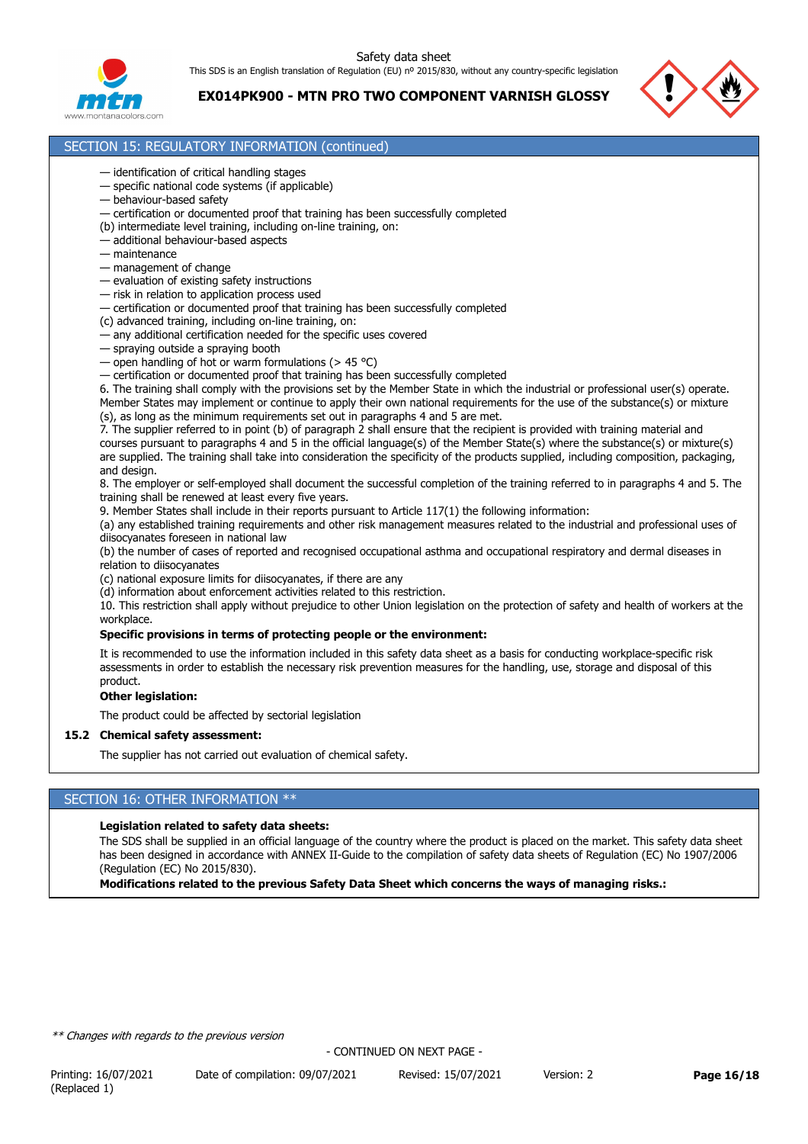Safety data sheet

This SDS is an English translation of Regulation (EU) nº 2015/830, without any country-specific legislation



**EX014PK900 - MTN PRO TWO COMPONENT VARNISH GLOSSY**



## SECTION 15: REGULATORY INFORMATION (continued)

- identification of critical handling stages
- specific national code systems (if applicable)
- behaviour-based safety
- certification or documented proof that training has been successfully completed
- (b) intermediate level training, including on-line training, on:
- additional behaviour-based aspects
- maintenance
- management of change
- evaluation of existing safety instructions
- risk in relation to application process used
- certification or documented proof that training has been successfully completed
- (c) advanced training, including on-line training, on:
- any additional certification needed for the specific uses covered
- spraying outside a spraying booth
- open handling of hot or warm formulations ( $> 45$  °C)
- certification or documented proof that training has been successfully completed

6. The training shall comply with the provisions set by the Member State in which the industrial or professional user(s) operate. Member States may implement or continue to apply their own national requirements for the use of the substance(s) or mixture (s), as long as the minimum requirements set out in paragraphs 4 and 5 are met.

7. The supplier referred to in point (b) of paragraph 2 shall ensure that the recipient is provided with training material and courses pursuant to paragraphs 4 and 5 in the official language(s) of the Member State(s) where the substance(s) or mixture(s) are supplied. The training shall take into consideration the specificity of the products supplied, including composition, packaging, and design.

8. The employer or self-employed shall document the successful completion of the training referred to in paragraphs 4 and 5. The training shall be renewed at least every five years.

9. Member States shall include in their reports pursuant to Article 117(1) the following information:

(a) any established training requirements and other risk management measures related to the industrial and professional uses of diisocyanates foreseen in national law

(b) the number of cases of reported and recognised occupational asthma and occupational respiratory and dermal diseases in relation to diisocyanates

- (c) national exposure limits for diisocyanates, if there are any
- (d) information about enforcement activities related to this restriction.

10. This restriction shall apply without prejudice to other Union legislation on the protection of safety and health of workers at the workplace.

## **Specific provisions in terms of protecting people or the environment:**

It is recommended to use the information included in this safety data sheet as a basis for conducting workplace-specific risk assessments in order to establish the necessary risk prevention measures for the handling, use, storage and disposal of this product.

#### **Other legislation:**

The product could be affected by sectorial legislation

### **15.2 Chemical safety assessment:**

The supplier has not carried out evaluation of chemical safety.

# SECTION 16: OTHER INFORMATION \*\*

#### **Legislation related to safety data sheets:**

The SDS shall be supplied in an official language of the country where the product is placed on the market. This safety data sheet has been designed in accordance with ANNEX II-Guide to the compilation of safety data sheets of Regulation (EC) No 1907/2006 (Regulation (EC) No 2015/830).

**Modifications related to the previous Safety Data Sheet which concerns the ways of managing risks.:**

*\*\* Changes with regards to the previous version*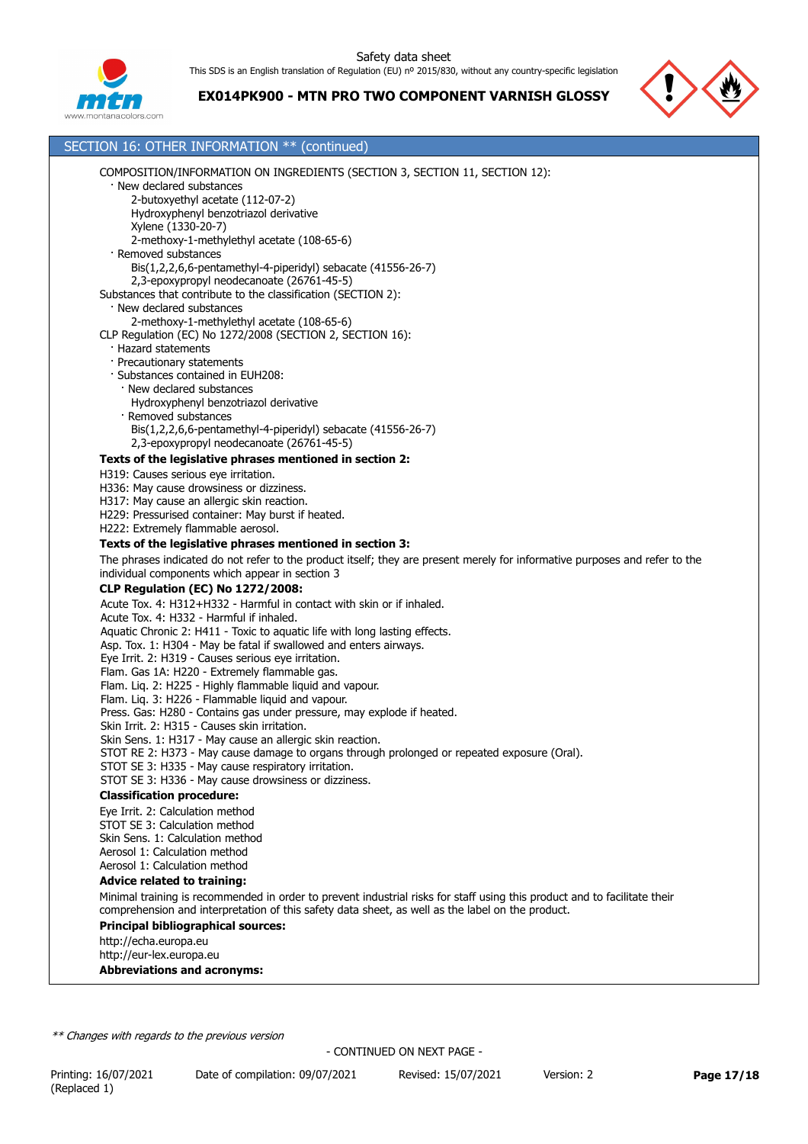

SECTION 16: OTHER INFORMATION \*\* (continued)

2-butoxyethyl acetate (112-07-2)

· New declared substances

# **EX014PK900 - MTN PRO TWO COMPONENT VARNISH GLOSSY**

COMPOSITION/INFORMATION ON INGREDIENTS (SECTION 3, SECTION 11, SECTION 12):



## Hydroxyphenyl benzotriazol derivative Xylene (1330-20-7) 2-methoxy-1-methylethyl acetate (108-65-6) · Removed substances Bis(1,2,2,6,6-pentamethyl-4-piperidyl) sebacate (41556-26-7) 2,3-epoxypropyl neodecanoate (26761-45-5) Substances that contribute to the classification (SECTION 2): · New declared substances 2-methoxy-1-methylethyl acetate (108-65-6) CLP Regulation (EC) No 1272/2008 (SECTION 2, SECTION 16): · Hazard statements · Precautionary statements · Substances contained in EUH208: New declared substances Hydroxyphenyl benzotriazol derivative · Removed substances Bis(1,2,2,6,6-pentamethyl-4-piperidyl) sebacate (41556-26-7) 2,3-epoxypropyl neodecanoate (26761-45-5) **Texts of the legislative phrases mentioned in section 2:** H319: Causes serious eye irritation. H336: May cause drowsiness or dizziness. H317: May cause an allergic skin reaction. H229: Pressurised container: May burst if heated. H222: Extremely flammable aerosol. **Texts of the legislative phrases mentioned in section 3:** The phrases indicated do not refer to the product itself; they are present merely for informative purposes and refer to the individual components which appear in section 3 **CLP Regulation (EC) No 1272/2008:** Acute Tox. 4: H312+H332 - Harmful in contact with skin or if inhaled. Acute Tox. 4: H332 - Harmful if inhaled. Aquatic Chronic 2: H411 - Toxic to aquatic life with long lasting effects. Asp. Tox. 1: H304 - May be fatal if swallowed and enters airways. Eye Irrit. 2: H319 - Causes serious eye irritation. Flam. Gas 1A: H220 - Extremely flammable gas. Flam. Liq. 2: H225 - Highly flammable liquid and vapour. Flam. Liq. 3: H226 - Flammable liquid and vapour. Press. Gas: H280 - Contains gas under pressure, may explode if heated. Skin Irrit. 2: H315 - Causes skin irritation. Skin Sens. 1: H317 - May cause an allergic skin reaction. STOT RE 2: H373 - May cause damage to organs through prolonged or repeated exposure (Oral). STOT SE 3: H335 - May cause respiratory irritation. STOT SE 3: H336 - May cause drowsiness or dizziness. **Classification procedure:** Eye Irrit. 2: Calculation method STOT SE 3: Calculation method Skin Sens. 1: Calculation method Aerosol 1: Calculation method Aerosol 1: Calculation method **Advice related to training:** Minimal training is recommended in order to prevent industrial risks for staff using this product and to facilitate their comprehension and interpretation of this safety data sheet, as well as the label on the product. **Principal bibliographical sources:** http://echa.europa.eu http://eur-lex.europa.eu **Abbreviations and acronyms:** *\*\* Changes with regards to the previous version* Printing: 16/07/2021 Date of compilation: 09/07/2021 Revised: 15/07/2021 Version: 2 **Page 17/18** (Replaced 1) - CONTINUED ON NEXT PAGE -